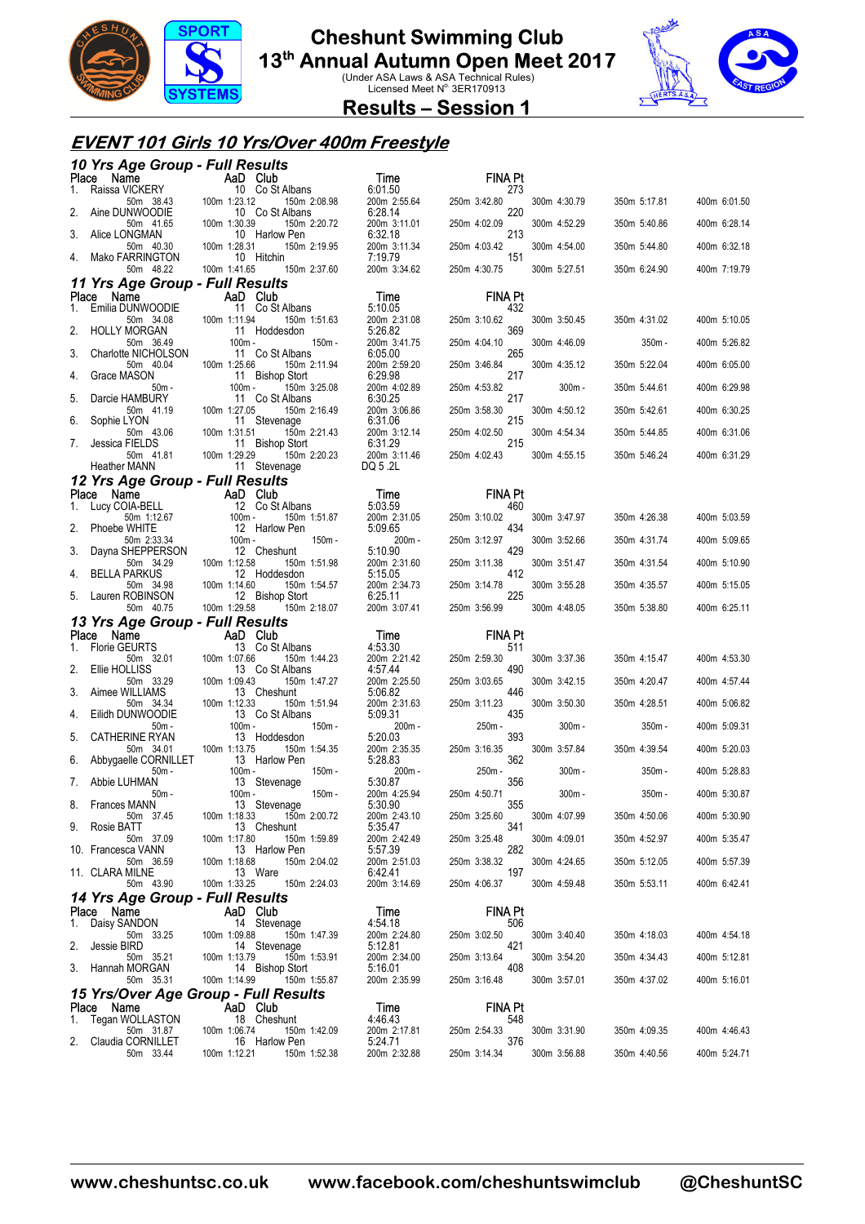

**13<sup>th</sup> Annual Autumn Open Meet 2017**<br>Under ASA Laws & ASA Technical Rules)<br>Licensed Meet N<sup>o.</sup> 3ER170913



**Results – Session 1** 

### **EVENT 101 Girls 10 Yrs/Over 400m Freestyle**

|             | 10 Yrs Age Group - Full Results                                                                                                 |                                                                                                      |                                         |                                     |              |              |              |
|-------------|---------------------------------------------------------------------------------------------------------------------------------|------------------------------------------------------------------------------------------------------|-----------------------------------------|-------------------------------------|--------------|--------------|--------------|
| Place<br>1. |                                                                                                                                 |                                                                                                      | Time<br>6:01.50                         | <b>FINA Pt</b><br>273               |              |              |              |
| 2.          | Ce Name<br>Raissa VICKERY<br>Aine DI NUMOODIE 100m 1:23.12 150m 2:0<br>Aine DI NUMOODIE 100m 1:23.12 150m 2:0<br>Aine DUNWOODIE | 150m 2:08.98<br>10 Co St Albans                                                                      | 200m 2:55.64<br>6:28.14                 | 250m 3:42.80<br>220                 | 300m 4:30.79 | 350m 5:17.81 | 400m 6:01.50 |
| 3.          | 50m 41.65<br>Alice LONGMAN                                                                                                      | 100m 1:30.39<br>150m 2:20.72<br>10 Harlow Pen                                                        | 200m 3:11.01<br>6:32.18                 | 250m 4:02.09<br>213                 | 300m 4:52.29 | 350m 5:40.86 | 400m 6:28.14 |
| 4.          | 50m 40.30<br>Mako FARRINGTON                                                                                                    | 100m 1:28.31<br>150m 2:19.95<br>10 Hitchin                                                           | 200m 3:11.34<br>7:19.79                 | 250m 4:03.42<br>151                 | 300m 4:54.00 | 350m 5:44.80 | 400m 6:32.18 |
|             | 50m 48.22                                                                                                                       | 150m 2:37.60<br>100m 1:41.65                                                                         | 200m 3:34.62                            | 250m 4:30.75                        | 300m 5:27.51 | 350m 6:24.90 | 400m 7:19.79 |
| Place       | 11 Yrs Age Group - Full Results<br>Name                                                                                         | <b>Example 2</b> AaD Club                                                                            | Time                                    | <b>FINA Pt</b>                      |              |              |              |
| 1.          | Emilia DUNWOODIE                                                                                                                | 11 Co St Albans                                                                                      | 5:10.05                                 | 432                                 |              |              |              |
| 2.          | 50m 34.08<br><b>HOLLY MORGAN</b>                                                                                                | 100m 1:11.94<br>150m 1:51.63<br>11 Hoddesdon                                                         | 200m 2:31.08<br>5:26.82                 | 250m 3:10.62<br>369                 | 300m 3:50.45 | 350m 4:31.02 | 400m 5:10.05 |
| 3.          | 50m 36.49<br>Charlotte NICHOLSON                                                                                                | 100m -<br>150m -<br>11 Co St Albans                                                                  | 200m 3:41.75<br>6:05.00                 | 250m 4:04.10<br>265                 | 300m 4:46.09 | 350m -       | 400m 5:26.82 |
| 4.          | 50m 40.04<br>Grace MASON                                                                                                        | 150m 2:11.94<br>100m 1:25.66<br>11 Bishop Stort                                                      | 200m 2:59.20<br>6:29.98                 | 250m 3:46.84<br>217                 | 300m 4:35.12 | 350m 5:22.04 | 400m 6:05.00 |
|             | 50m -                                                                                                                           | $100m -$<br>150m 3:25.08                                                                             | 200m 4:02.89                            | 250m 4:53.82<br>217                 | $300m -$     | 350m 5:44.61 | 400m 6:29.98 |
| 5.          | Darcie HAMBURY<br>50m 41.19                                                                                                     | 11 Co St Albans<br>100m 1:27.05<br>150m 2:16.49                                                      | 6:30.25<br>200m 3:06.86                 | 250m 3:58.30                        | 300m 4:50.12 | 350m 5:42.61 | 400m 6:30.25 |
| 6.          | Sophie LYON<br>50m 43.06                                                                                                        | 11 Stevenage<br>100m 1:31.51<br>150m 2:21.43                                                         | 6:31.06<br>200m 3:12.14<br>6:31.29      | 215<br>250m 4:02.50                 | 300m 4:54.34 | 350m 5:44.85 | 400m 6:31.06 |
| 7.          | Jessica FIELDS<br>50m 41.81                                                                                                     | 11 Bishop Stort<br>100m 1:29.29<br>150m 2:20.23                                                      | 200m 3:11.46                            | 215<br>250m 4:02.43                 | 300m 4:55.15 | 350m 5:46.24 | 400m 6:31.29 |
|             | <b>Heather MANN</b>                                                                                                             | 11 Stevenage                                                                                         | DQ 5.2L                                 |                                     |              |              |              |
|             | 12 Yrs Age Group - Full Results<br>Place Name                                                                                   |                                                                                                      | <b>Time</b>                             | <b>FINA Pt</b>                      |              |              |              |
|             | 1. Lucy COIA-BELL<br>50m 1:12.67                                                                                                | <b>AaD</b> Club<br>-12 Co St Apple 12 Co St Apple 100m -12 Harlow<br>12 Co St Albans<br>150m 1:51.87 | 5:03.59<br>200m 2:31.05                 | 460<br>250m 3:10.02                 | 300m 3:47.97 | 350m 4:26.38 | 400m 5:03.59 |
|             | Phoebe WHITE<br>50m 2:33.34                                                                                                     | 12 Harlow Pen<br>150m -<br>$100m -$                                                                  | 5:09.65<br>$200m -$                     | 434<br>250m 3:12.97                 | 300m 3:52.66 | 350m 4:31.74 | 400m 5:09.65 |
| 3.          | Dayna SHEPPERSON                                                                                                                | 12 Cheshunt                                                                                          | 5:10.90                                 | 429                                 |              |              |              |
| 4.          | 50m 34.29<br><b>BELLA PARKUS</b>                                                                                                | 100m 1:12.58<br>150m 1:51.98<br>12 Hoddesdon                                                         | 200m 2:31.60<br>5:15.05                 | 250m 3:11.38<br>412                 | 300m 3:51.47 | 350m 4:31.54 | 400m 5:10.90 |
| 5.          | 50m 34.98<br>Lauren ROBINSON                                                                                                    | 100m 1:14.60<br>150m 1:54.57<br>12 Bishop Stort                                                      | 200m 2:34.73<br>6:25.11                 | 250m 3:14.78<br>225                 | 300m 3:55.28 | 350m 4:35.57 | 400m 5:15.05 |
|             |                                                                                                                                 |                                                                                                      |                                         |                                     |              |              |              |
|             | 50m 40.75                                                                                                                       | 100m 1:29.58<br>150m 2:18.07                                                                         | 200m 3:07.41                            | 250m 3:56.99                        | 300m 4:48.05 | 350m 5:38.80 | 400m 6:25.11 |
|             | 13 Yrs Age Group - Full Results<br>Place Name                                                                                   | AaD Club                                                                                             |                                         | <b>FINA Pt</b>                      |              |              |              |
| 1.          | Florie GEURTS                                                                                                                   | 13 Co St Albans                                                                                      | <b>Time</b><br>4:53.30                  | 511                                 |              |              |              |
| 2.          | 50m 32.01<br>Ellie HOLLISS                                                                                                      | 100m 1:07.66<br>150m 1:44.23<br>13 Co St Albans                                                      | 200m 2:21.42<br>4:57.44                 | 250m 2:59.30<br>490                 | 300m 3:37.36 | 350m 4:15.47 | 400m 4:53.30 |
| 3.          | 50m 33.29<br>Aimee WILLIAMS                                                                                                     | 100m 1:09.43<br>150m 1:47.27<br>13 Cheshunt                                                          | 200m 2:25.50<br>5:06.82                 | 250m 3:03.65<br>446                 | 300m 3:42.15 | 350m 4:20.47 | 400m 4:57.44 |
| 4.          | 50m 34.34<br>Eilidh DUNWOODIE                                                                                                   | 100m 1:12.33<br>150m 1:51.94<br>13 Co St Albans                                                      | 200m 2:31.63<br>5:09.31                 | 250m 3:11.23<br>435                 | 300m 3:50.30 | 350m 4:28.51 | 400m 5:06.82 |
| 5.          | $50m -$<br><b>CATHERINE RYAN</b>                                                                                                | 100m -<br>150m -<br>13 Hoddesdon                                                                     | 200m -                                  | 250m -<br>393                       | $300m -$     | $350m -$     | 400m 5:09.31 |
|             | 50m 34.01                                                                                                                       | 100m 1:13.75<br>150m 1:54.35                                                                         | 5:20.03<br>200m 2:35.35                 | 250m 3:16.35                        | 300m 3:57.84 | 350m 4:39.54 | 400m 5:20.03 |
| 6.          | Abbygaelle CORNILLET<br>50m -                                                                                                   | 13 Harlow Pen<br>150m -<br>$100m -$                                                                  | 5:28.83<br>200m -                       | 362<br>250m -                       | $300m -$     | $350m -$     | 400m 5:28.83 |
| 7.          | Abbie LUHMAN<br>50m -                                                                                                           | 13 Stevenage<br>100m -<br>150m -                                                                     | 5:30.87<br>200m 4:25.94                 | 356<br>250m 4:50.71                 | $300m -$     | $350m -$     | 400m 5:30.87 |
| 8.          | Frances MANN<br>50m 37.45                                                                                                       | 13 Stevenage<br>100m 1:18.33<br>150m 2:00.72                                                         | 5:30.90<br>200m 2:43.10                 | 355<br>250m 3:25.60                 | 300m 4:07.99 | 350m 4:50.06 | 400m 5:30.90 |
| 9.          | Rosie BATT<br>50m 37.09                                                                                                         | 13 Cheshunt<br>100m 1:17.80<br>150m 1:59.89                                                          | 5:35.47<br>200m 2:42.49                 | 341<br>250m 3:25.48                 | 300m 4:09.01 | 350m 4:52.97 | 400m 5:35.47 |
|             | 10. Francesca VANN<br>50m 36.59                                                                                                 | 13 Harlow Pen<br>100m 1:18.68<br>150m 2:04.02                                                        | 5.57.39<br>200m 2:51.03                 | 282<br>250m 3:38.32                 | 300m 4:24.65 | 350m 5:12.05 | 400m 5:57.39 |
|             | 11. CLARA MILNE<br>50m 43.90                                                                                                    | 13 Ware<br>100m 1:33.25<br>150m 2:24.03                                                              | 6:42.41<br>200m 3:14.69                 | 197<br>250m 4:06.37                 | 300m 4:59.48 | 350m 5:53.11 | 400m 6:42.41 |
|             | 14 Yrs Age Group - Full Results                                                                                                 |                                                                                                      |                                         |                                     |              |              |              |
|             | Place Name                                                                                                                      | AaD Club                                                                                             | Time                                    | <b>FINA Pt</b>                      |              |              |              |
| 1.          | Daisy SANDON<br>50m 33.25                                                                                                       | 14 Stevenage<br>100m 1:09.88<br>150m 1:47.39                                                         | 4:54.18<br>200m 2:24.80                 | 506<br>250m 3:02.50                 | 300m 3:40.40 | 350m 4:18.03 | 400m 4:54.18 |
| 2.          | Jessie BIRD<br>50m 35.21                                                                                                        | 14 Stevenage<br>100m 1:13.79<br>150m 1:53.91                                                         | 5:12.81<br>200m 2:34.00                 | 421<br>250m 3:13.64                 | 300m 3:54.20 | 350m 4:34.43 | 400m 5:12.81 |
| 3.          | Hannah MORGAN<br>50m 35.31                                                                                                      | 14 Bishop Stort<br>100m 1:14.99<br>150m 1:55.87                                                      | 5:16.01<br>200m 2:35.99                 | 408<br>250m 3:16.48                 | 300m 3:57.01 | 350m 4:37.02 | 400m 5:16.01 |
|             | 15 Yrs/Over Age Group - Full Results                                                                                            |                                                                                                      |                                         |                                     |              |              |              |
| Place<br>1. | Name<br>Tegan WOLLASTON                                                                                                         | AaD Club<br>18 Cheshunt                                                                              | Time<br>4:46.43                         | <b>FINA Pt</b><br>548               |              |              |              |
| 2.          | 50m 31.87<br>Claudia CORNILLET<br>50m 33.44                                                                                     | 100m 1:06.74<br>150m 1:42.09<br>16 Harlow Pen<br>100m 1:12.21<br>150m 1:52.38                        | 200m 2:17.81<br>5:24.71<br>200m 2:32.88 | 250m 2:54.33<br>376<br>250m 3:14.34 | 300m 3:31.90 | 350m 4:09.35 | 400m 4:46.43 |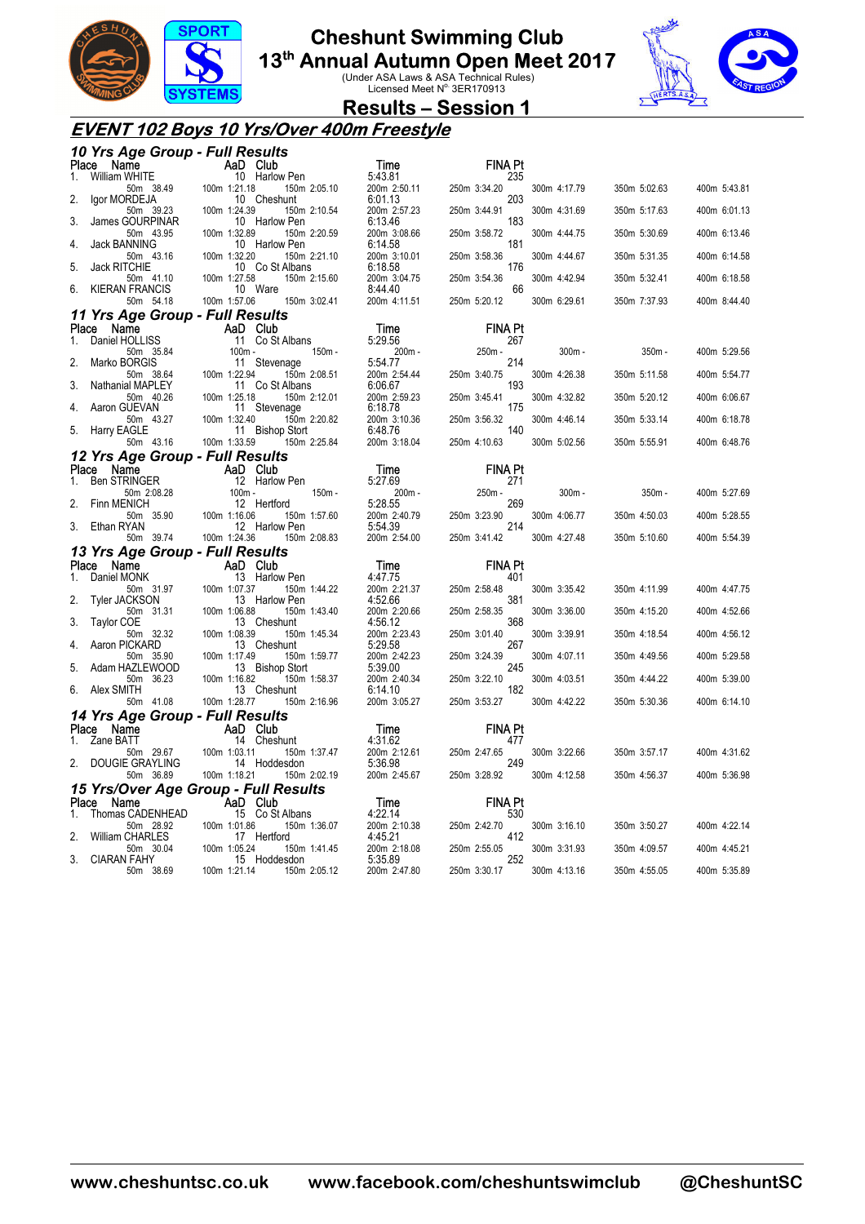

**13<sup>th</sup> Annual Autumn Open Meet 2017**<br>Under ASA Laws & ASA Technical Rules)<br>Licensed Meet N<sup>o.</sup> 3ER170913



**Results – Session 1** 

### **EVENT 102 Boys 10 Yrs/Over 400m Freestyle**

|    | 10 Yrs Age Group - Full Results               |                                                 |                         |                     |              |              |              |
|----|-----------------------------------------------|-------------------------------------------------|-------------------------|---------------------|--------------|--------------|--------------|
|    | Place Name                                    | AaD Club                                        | Time                    | <b>FINA Pt</b>      |              |              |              |
| 1. | <b>William WHITE</b><br>50m 38.49             | 10 Harlow Pen<br>100m 1:21.18<br>150m 2:05.10   | 5:43.81<br>200m 2:50.11 | 235<br>250m 3:34.20 | 300m 4:17.79 | 350m 5:02.63 | 400m 5:43.81 |
| 2. | lgor MORDEJA<br>50m 39.23                     | 10 Cheshunt<br>100m 1:24.39<br>150m 2:10.54     | 6:01.13<br>200m 2:57.23 | 203<br>250m 3:44.91 | 300m 4:31.69 | 350m 5:17.63 | 400m 6:01.13 |
| 3. | James GOURPINAR<br>50m 43.95                  | 10 Harlow Pen<br>100m 1:32.89<br>150m 2:20.59   | 6:13.46<br>200m 3:08.66 | 183<br>250m 3:58.72 | 300m 4:44.75 | 350m 5:30.69 | 400m 6:13.46 |
| 4. | Jack BANNING<br>50m 43.16                     | 10 Harlow Pen<br>100m 1:32.20<br>150m 2:21.10   | 6:14.58<br>200m 3:10.01 | 181<br>250m 3:58.36 | 300m 4:44.67 | 350m 5:31.35 | 400m 6:14.58 |
| 5. | <b>Jack RITCHIE</b>                           | 10 Co St Albans                                 | 6:18.58                 | 176                 |              |              |              |
| 6. | 50m 41.10<br><b>KIERAN FRANCIS</b>            | 100m 1:27.58<br>150m 2:15.60<br>10 Ware         | 200m 3:04.75<br>8:44.40 | 250m 3:54.36<br>66  | 300m 4:42.94 | 350m 5:32.41 | 400m 6:18.58 |
|    | 50m 54.18                                     | 100m 1:57.06<br>150m 3:02.41                    | 200m 4:11.51            | 250m 5:20.12        | 300m 6:29.61 | 350m 7:37.93 | 400m 8:44.40 |
|    | 11 Yrs Age Group - Full Results<br>Place Name | AaD Club                                        | Time                    | <b>FINA Pt</b>      |              |              |              |
| 1. | Daniel HOLLISS                                | 11 Co St Albans                                 | 5:29.56                 | 267                 |              |              |              |
|    | 50m 35.84                                     | 100m -<br>$150m -$                              | 200m -                  | 250m -              | $300m -$     | 350m -       | 400m 5:29.56 |
| 2. | Marko BORGIS                                  | 11 Stevenage                                    | 5:54.77                 | 214                 |              |              |              |
| 3. | 50m 38.64<br>Nathanial MAPLEY                 | 100m 1:22.94<br>150m 2:08.51<br>11 Co St Albans | 200m 2:54.44<br>6:06.67 | 250m 3:40.75<br>193 | 300m 4:26.38 | 350m 5:11.58 | 400m 5:54.77 |
|    | 50m 40.26<br>Aaron GUEVAN                     | 100m 1:25.18<br>150m 2:12.01<br>11 Stevenage    | 200m 2:59.23<br>6:18.78 | 250m 3:45.41<br>175 | 300m 4:32.82 | 350m 5:20.12 | 400m 6:06.67 |
| 5. | 50m 43.27<br><b>Harry EAGLE</b>               | 100m 1:32.40<br>150m 2:20.82<br>11 Bishop Stort | 200m 3:10.36<br>6:48.76 | 250m 3:56.32<br>140 | 300m 4:46.14 | 350m 5:33.14 | 400m 6:18.78 |
|    | 50m 43.16                                     | 100m 1:33.59<br>150m 2:25.84                    | 200m 3:18.04            | 250m 4:10.63        | 300m 5:02.56 | 350m 5:55.91 | 400m 6:48.76 |
|    | 12 Yrs Age Group - Full Results<br>Place Name | AaD Club                                        | Time                    | <b>FINA Pt</b>      |              |              |              |
| 1. | <b>Ben STRINGER</b>                           | 12 Harlow Pen                                   | 5:27.69                 | 271                 |              |              |              |
|    | 50m 2:08.28<br>Finn MENICH                    | $100m -$<br>150m -<br>12 Hertford               | 200m -<br>5:28.55       | 250m -<br>269       | $300m -$     | $350m -$     | 400m 5:27.69 |
|    |                                               |                                                 |                         |                     |              |              |              |
|    | 50m 35.90                                     | 100m 1:16.06<br>150m 1:57.60                    | 200m 2:40.79            | 250m 3:23.90        | 300m 4:06.77 | 350m 4:50.03 | 400m 5:28.55 |
| 3. | Ethan RYAN<br>50m 39.74                       | 12 Harlow Pen<br>100m 1:24.36<br>150m 2:08.83   | 5:54.39<br>200m 2:54.00 | 214<br>250m 3:41.42 | 300m 4:27.48 | 350m 5:10.60 | 400m 5:54.39 |
|    | 13 Yrs Age Group - Full Results               |                                                 |                         |                     |              |              |              |
|    | Place Name                                    | AaD Club                                        | Time                    | <b>FINA Pt</b>      |              |              |              |
| 1. | Daniel MONK<br>50m 31.97                      | 13 Harlow Pen<br>100m 1:07.37<br>150m 1:44.22   | 4:47.75<br>200m 2:21.37 | 401<br>250m 2:58.48 | 300m 3:35.42 | 350m 4:11.99 | 400m 4:47.75 |
| 2. | Tyler JACKSON                                 | 13 Harlow Pen                                   | 4:52.66                 | 381                 |              |              |              |
| 3. | 50m 31.31<br><b>Taylor COE</b>                | 100m 1:06.88<br>150m 1:43.40<br>13 Cheshunt     | 200m 2:20.66<br>4:56.12 | 250m 2:58.35<br>368 | 300m 3:36.00 | 350m 4:15.20 | 400m 4:52.66 |
|    | 50m 32.32<br>Aaron PICKARD                    | 100m 1:08.39<br>150m 1:45.34<br>13 Cheshunt     | 200m 2:23.43<br>5:29.58 | 250m 3:01.40<br>267 | 300m 3:39.91 | 350m 4:18.54 | 400m 4:56.12 |
| 5. | 50m 35.90<br>Adam HAZLEWOOD                   | 100m 1:17.49<br>150m 1:59.77<br>13 Bishop Stort | 200m 2:42.23<br>5:39.00 | 250m 3:24.39<br>245 | 300m 4:07.11 | 350m 4:49.56 | 400m 5:29.58 |
| 6. | 50m 36.23<br>Alex SMITH                       | 100m 1:16.82<br>150m 1:58.37<br>13 Cheshunt     | 200m 2:40.34<br>6:14.10 | 250m 3:22.10<br>182 | 300m 4:03.51 | 350m 4:44.22 | 400m 5:39.00 |
|    | 50m 41.08                                     | 100m 1:28.77<br>150m 2:16.96                    | 200m 3:05.27            | 250m 3:53.27        | 300m 4:42.22 | 350m 5:30.36 | 400m 6:14.10 |
|    | 14 Yrs Age Group - Full Results               |                                                 |                         |                     |              |              |              |
|    | Place Name                                    | AaD Club                                        | Time                    | <b>FINA Pt</b>      |              |              |              |
| 1. | Zane BATT<br>50m 29.67                        | 14 Cheshunt<br>100m 1:03.11<br>150m 1:37.47     | 4:31.62<br>200m 2:12.61 | 477<br>250m 2:47.65 | 300m 3:22.66 | 350m 3:57.17 | 400m 4:31.62 |
|    | DOUGIE GRAYLING<br>50m 36.89                  | 14 Hoddesdon<br>100m 1:18.21<br>150m 2:02.19    | 5:36.98<br>200m 2:45.67 | 249<br>250m 3:28.92 | 300m 4:12.58 | 350m 4:56.37 | 400m 5:36.98 |
|    |                                               | 15 Yrs/Over Age Group - Full Results            |                         |                     |              |              |              |
|    | Place Name                                    | AaD Club                                        | Time                    | <b>FINA Pt</b>      |              |              |              |
|    | Thomas CADENHEAD<br>50m 28.92                 | 15 Co St Albans<br>100m 1:01.86<br>150m 1:36.07 | 4:22.14<br>200m 2:10.38 | 530<br>250m 2:42.70 | 300m 3:16.10 | 350m 3:50.27 | 400m 4:22.14 |
| 2. | William CHARLES<br>50m 30.04                  | 17 Hertford<br>100m 1:05.24<br>150m 1:41.45     | 4:45.21<br>200m 2:18.08 | 412<br>250m 2:55.05 | 300m 3:31.93 | 350m 4:09.57 | 400m 4:45.21 |
| 3. | <b>CIARAN FAHY</b><br>50m 38.69               | 15 Hoddesdon<br>100m 1:21.14<br>150m 2:05.12    | 5:35.89<br>200m 2:47.80 | 252<br>250m 3:30.17 | 300m 4:13.16 | 350m 4:55.05 | 400m 5:35.89 |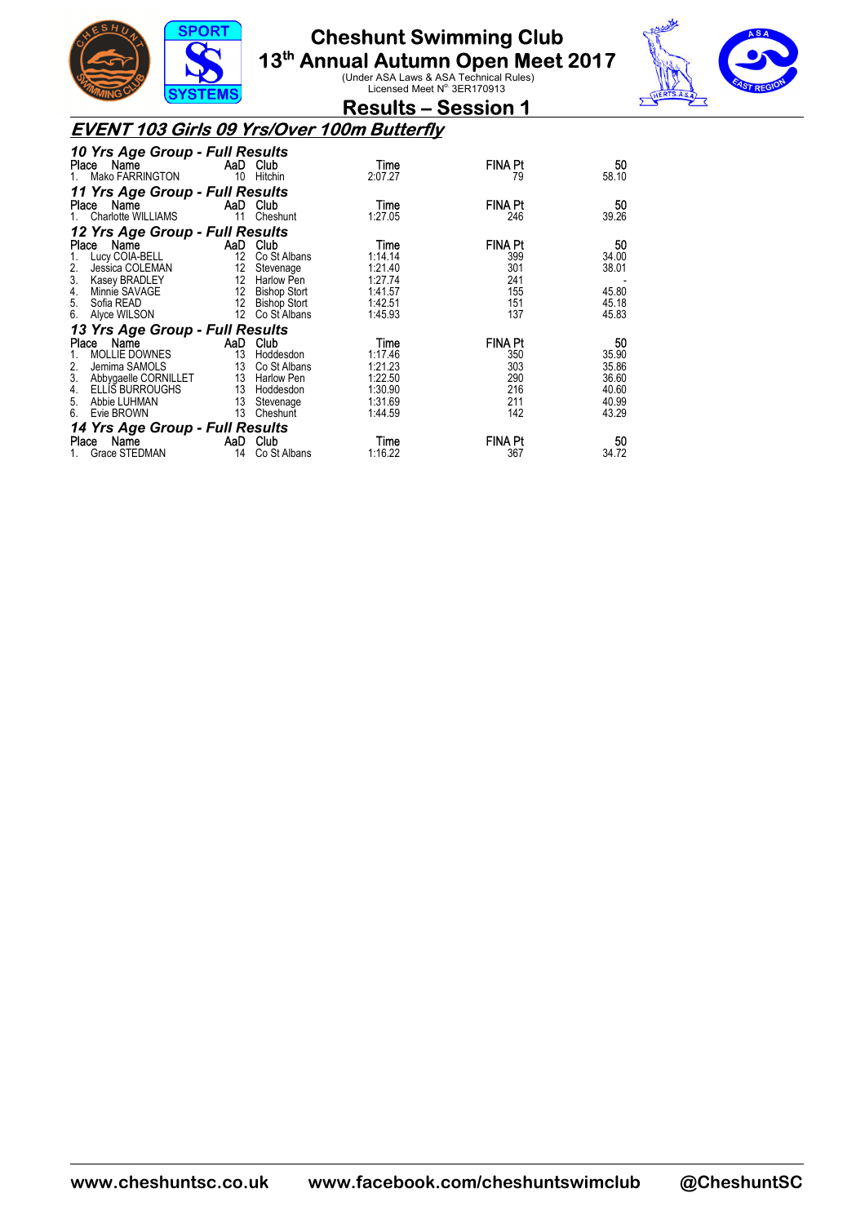



**Results – Session 1** 

### **EVENT 103 Girls 09 Yrs/Over 100m Butterfly**

| 10 Yrs Age Group - Full Results |                   |                     |         |                |       |
|---------------------------------|-------------------|---------------------|---------|----------------|-------|
| Place Name                      |                   | AaD Club            | Time    | <b>FINA Pt</b> | 50    |
| Mako FARRINGTON                 | 10                | Hitchin             | 2:07.27 | 79             | 58.10 |
| 11 Yrs Age Group - Full Results |                   |                     |         |                |       |
| Name<br>Place                   |                   | AaD Club            | Time    | <b>FINA Pt</b> | 50    |
| Charlotte WILLIAMS              | 11                | Cheshunt            | 1:27.05 | 246            | 39.26 |
| 12 Yrs Age Group - Full Results |                   |                     |         |                |       |
| Name<br>Place                   |                   | AaD Club            | Time    | <b>FINA Pt</b> | 50    |
| Lucy COIA-BELL                  | $12 \overline{ }$ | Co St Albans        | 1:14.14 | 399            | 34.00 |
| 2.<br>Jessica COLEMAN           | 12                | Stevenage           | 1:21.40 | 301            | 38.01 |
| 3.<br>Kasey BRADLEY             |                   | 12 Harlow Pen       | 1:27.74 | 241            |       |
| Minnie SAVAGE<br>4.             | 12                | <b>Bishop Stort</b> | 1:41.57 | 155            | 45.80 |
| 5.<br>Sofia READ                | 12                | <b>Bishop Stort</b> | 1:42.51 | 151            | 45.18 |
| 6.<br>Alyce WILSON              | 12 <sup>°</sup>   | Co St Albans        | 1:45.93 | 137            | 45.83 |
| 13 Yrs Age Group - Full Results |                   |                     |         |                |       |
| Name<br><b>Place</b>            | AaD.              | Club                | Time    | <b>FINA Pt</b> | 50    |
| <b>MOLLIE DOWNES</b>            | 13                | Hoddesdon           | 1:17.46 | 350            | 35.90 |
| 2.<br>Jemima SAMOLS             | 13                | Co St Albans        | 1:21.23 | 303            | 35.86 |
| 3.<br>Abbygaelle CORNILLET      |                   | 13 Harlow Pen       | 1:22.50 | 290            | 36.60 |
| <b>ELLIS BURROUGHS</b><br>4.    |                   | 13 Hoddesdon        | 1:30.90 | 216            | 40.60 |
| Abbie LUHMAN<br>5.              | 13                | Stevenage           | 1:31.69 | 211            | 40.99 |
| Evie BROWN<br>6.                | 13                | Cheshunt            | 1:44.59 | 142            | 43.29 |
| 14 Yrs Age Group - Full Results |                   |                     |         |                |       |
| Name<br>Place                   | AaD               | Club                | Time    | <b>FINA Pt</b> | 50    |
| Grace STEDMAN                   | 14                | Co St Albans        | 1:16.22 | 367            | 34.72 |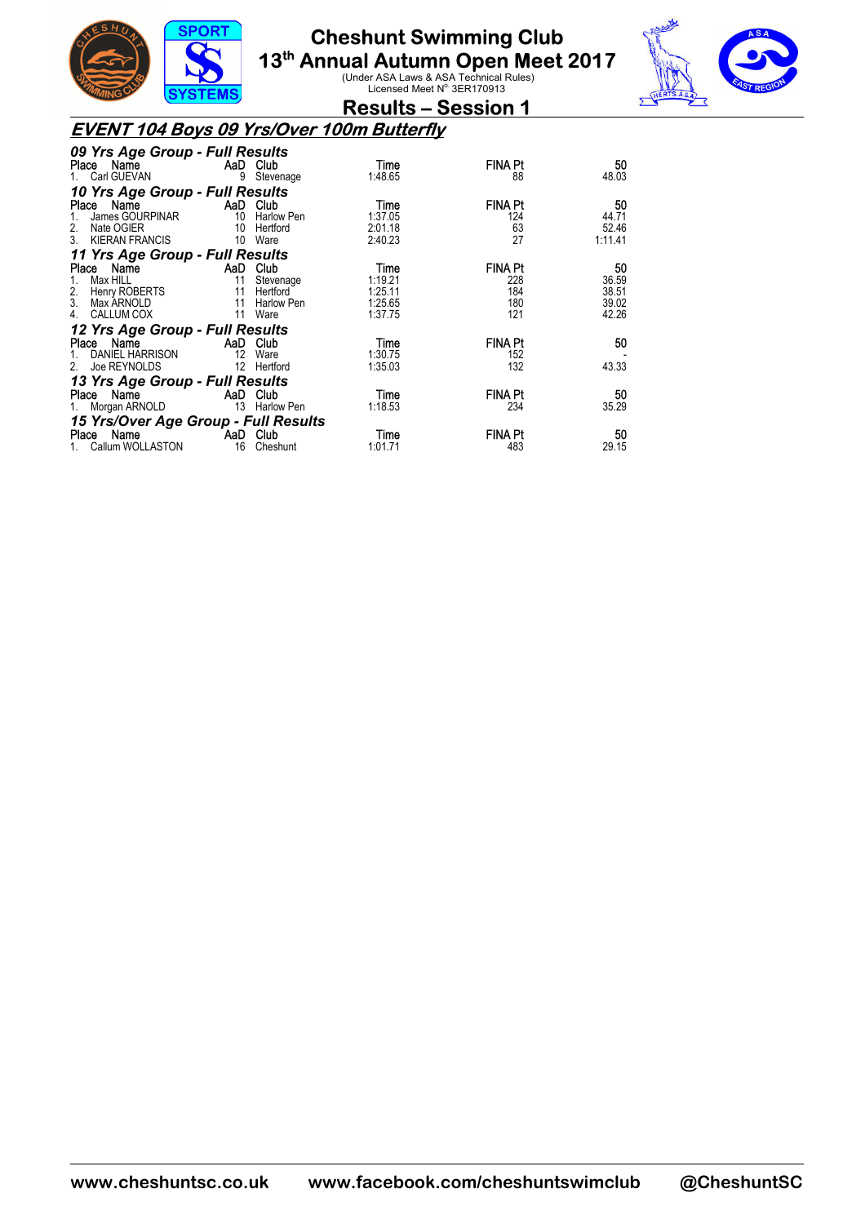

**13<sup>th</sup> Annual Autumn Open Meet 2017**<br>Under ASA Laws & ASA Technical Rules)<br>Licensed Meet N<sup>o.</sup> 3ER170913



**Results – Session 1** 

### **EVENT 104 Boys 09 Yrs/Over 100m Butterfly**

| 09 Yrs Age Group - Full Results      |                             |             |         |                |         |
|--------------------------------------|-----------------------------|-------------|---------|----------------|---------|
| Place Name                           | <b>Example 2</b> AaD Club   |             | Time    | <b>FINA Pt</b> | 50      |
| Carl GUEVAN                          |                             | 9 Stevenage | 1:48.65 | 88             | 48.03   |
| 10 Yrs Age Group - Full Results      |                             |             |         |                |         |
| Place Name                           | <b>Example 2</b> AaD Club   |             | Time    | <b>FINA Pt</b> | 50      |
| James GOURPINAR 10 Harlow Pen        |                             |             | 1:37.05 | 124            | 44.71   |
| Nate OGIER<br>2.                     |                             | 10 Hertford | 2:01.18 | 63             | 52.46   |
| 3. KIERAN FRANCIS                    | 10 Ware                     |             | 2:40.23 | 27             | 1:11.41 |
| 11 Yrs Age Group - Full Results      |                             |             |         |                |         |
| Place Name                           | AaD Club                    |             | Time    | <b>FINA Pt</b> | 50      |
| Max HILL<br>1.                       | $\sim$ 11                   | Stevenage   | 1:19.21 | 228            | 36.59   |
| 2. Henry ROBERTS                     | 11                          | Hertford    | 1:25.11 | 184            | 38.51   |
| 3. Max ARNOLD                        | 11                          | Harlow Pen  | 1:25.65 | 180            | 39.02   |
| CALLUM COX<br>4.                     | 11 Ware                     |             | 1:37.75 | 121            | 42.26   |
| 12 Yrs Age Group - Full Results      |                             |             |         |                |         |
| Place Name                           | AaD Club                    |             | Time    | FINA Pt        | 50      |
| DANIEL HARRISON                      | 12 Ware                     |             | 1:30.75 | 152            |         |
| Joe REYNOLDS<br>2.                   |                             | 12 Hertford | 1:35.03 | 132            | 43.33   |
| 13 Yrs Age Group - Full Results      |                             |             |         |                |         |
| Place Name                           | <b>Example 2.5 AaD</b> Club |             | Time    | <b>FINA Pt</b> | 50      |
| 1. Morgan ARNOLD 13 Harlow Pen       |                             |             | 1:18.53 | 234            | 35.29   |
| 15 Yrs/Over Age Group - Full Results |                             |             |         |                |         |
| Place Name                           | <b>Example 2</b> AaD Club   |             | Time    | FINA Pt        | 50      |
| Callum WOLLASTON                     |                             | 16 Cheshunt | 1:01.71 | 483            | 29.15   |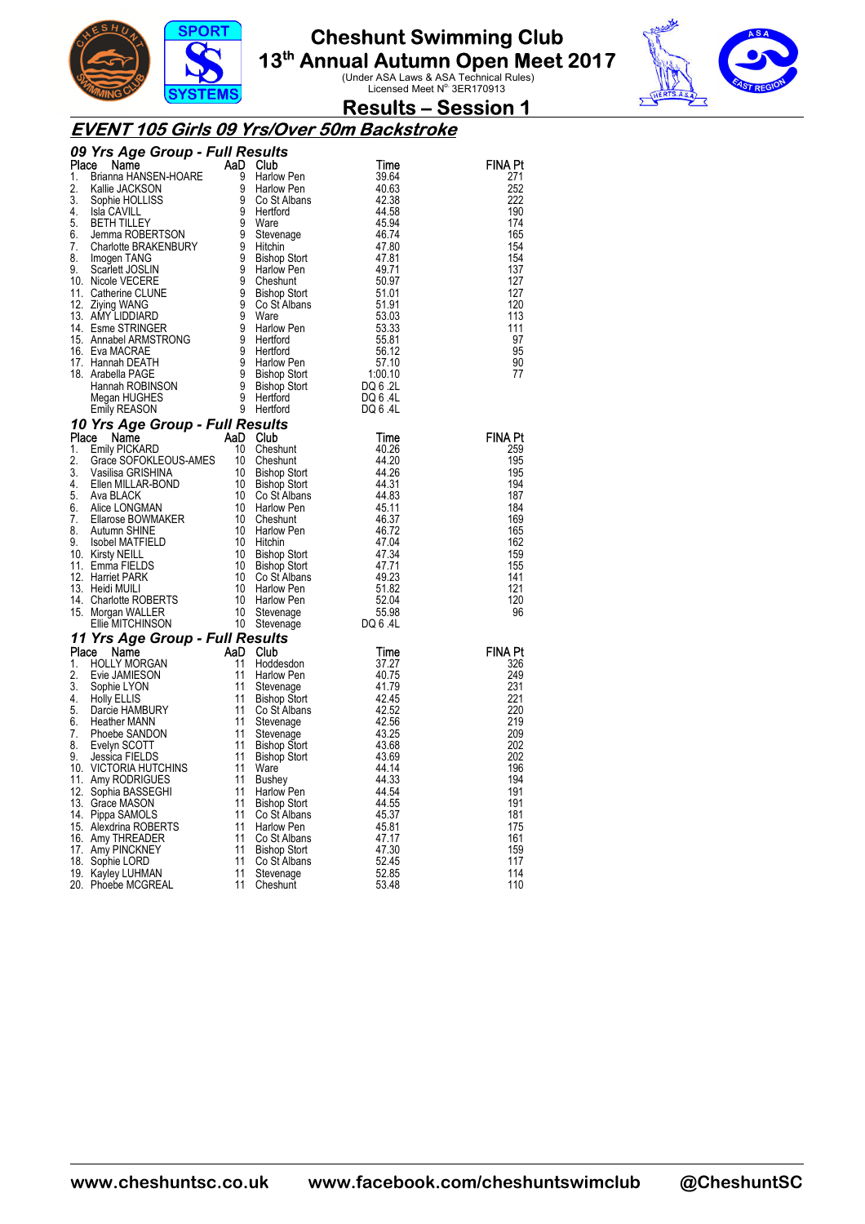



### **Results – Session 1**

#### **EVENT 105 Girls 09 Yrs/Over 50m Backstroke**

| <b>09 Yrs Agre Group - Full Results</b> and the MSEN-HOR <b>Agre Group - Full Results</b> and the MSEN-HOR 200 Harbor and 44,200<br>1. Brianne HAMSEN-HORE 9 SC 4 About 1 and 200 Minimips and 42,42 and 42,42 and 42,42 and 42,42 and 42 |  |                |
|-------------------------------------------------------------------------------------------------------------------------------------------------------------------------------------------------------------------------------------------|--|----------------|
|                                                                                                                                                                                                                                           |  | <b>FINA Pt</b> |
|                                                                                                                                                                                                                                           |  | 271            |
|                                                                                                                                                                                                                                           |  | 252            |
|                                                                                                                                                                                                                                           |  | 222            |
|                                                                                                                                                                                                                                           |  | 190<br>174     |
|                                                                                                                                                                                                                                           |  | 165            |
|                                                                                                                                                                                                                                           |  | 154            |
|                                                                                                                                                                                                                                           |  | 154            |
|                                                                                                                                                                                                                                           |  | 137            |
|                                                                                                                                                                                                                                           |  | 127            |
|                                                                                                                                                                                                                                           |  | 127            |
|                                                                                                                                                                                                                                           |  | 120            |
|                                                                                                                                                                                                                                           |  | 113            |
|                                                                                                                                                                                                                                           |  | 111            |
|                                                                                                                                                                                                                                           |  | 97             |
|                                                                                                                                                                                                                                           |  | 95             |
|                                                                                                                                                                                                                                           |  | 90             |
|                                                                                                                                                                                                                                           |  | 77             |
|                                                                                                                                                                                                                                           |  |                |
|                                                                                                                                                                                                                                           |  |                |
|                                                                                                                                                                                                                                           |  |                |
|                                                                                                                                                                                                                                           |  |                |
|                                                                                                                                                                                                                                           |  | <b>FINA Pt</b> |
|                                                                                                                                                                                                                                           |  | 259<br>195     |
|                                                                                                                                                                                                                                           |  | 195            |
|                                                                                                                                                                                                                                           |  | 194            |
|                                                                                                                                                                                                                                           |  | 187            |
|                                                                                                                                                                                                                                           |  | 184            |
|                                                                                                                                                                                                                                           |  | 169            |
|                                                                                                                                                                                                                                           |  | 165            |
|                                                                                                                                                                                                                                           |  | 162            |
|                                                                                                                                                                                                                                           |  | 159            |
|                                                                                                                                                                                                                                           |  | 155            |
|                                                                                                                                                                                                                                           |  | 141            |
|                                                                                                                                                                                                                                           |  | 121            |
|                                                                                                                                                                                                                                           |  | 120            |
|                                                                                                                                                                                                                                           |  | 96             |
|                                                                                                                                                                                                                                           |  |                |
|                                                                                                                                                                                                                                           |  | <b>FINA Pt</b> |
|                                                                                                                                                                                                                                           |  | 326            |
|                                                                                                                                                                                                                                           |  | 249            |
|                                                                                                                                                                                                                                           |  | 231            |
|                                                                                                                                                                                                                                           |  | 221            |
|                                                                                                                                                                                                                                           |  | 220            |
|                                                                                                                                                                                                                                           |  | 219            |
|                                                                                                                                                                                                                                           |  | 209            |
|                                                                                                                                                                                                                                           |  | 202            |
|                                                                                                                                                                                                                                           |  | 202            |
|                                                                                                                                                                                                                                           |  | 196            |
|                                                                                                                                                                                                                                           |  | 194<br>191     |
|                                                                                                                                                                                                                                           |  | 191            |
|                                                                                                                                                                                                                                           |  | 181            |
|                                                                                                                                                                                                                                           |  | 175            |
|                                                                                                                                                                                                                                           |  | 161            |
|                                                                                                                                                                                                                                           |  | 159            |
|                                                                                                                                                                                                                                           |  | 117            |
|                                                                                                                                                                                                                                           |  | 114            |
|                                                                                                                                                                                                                                           |  | 110            |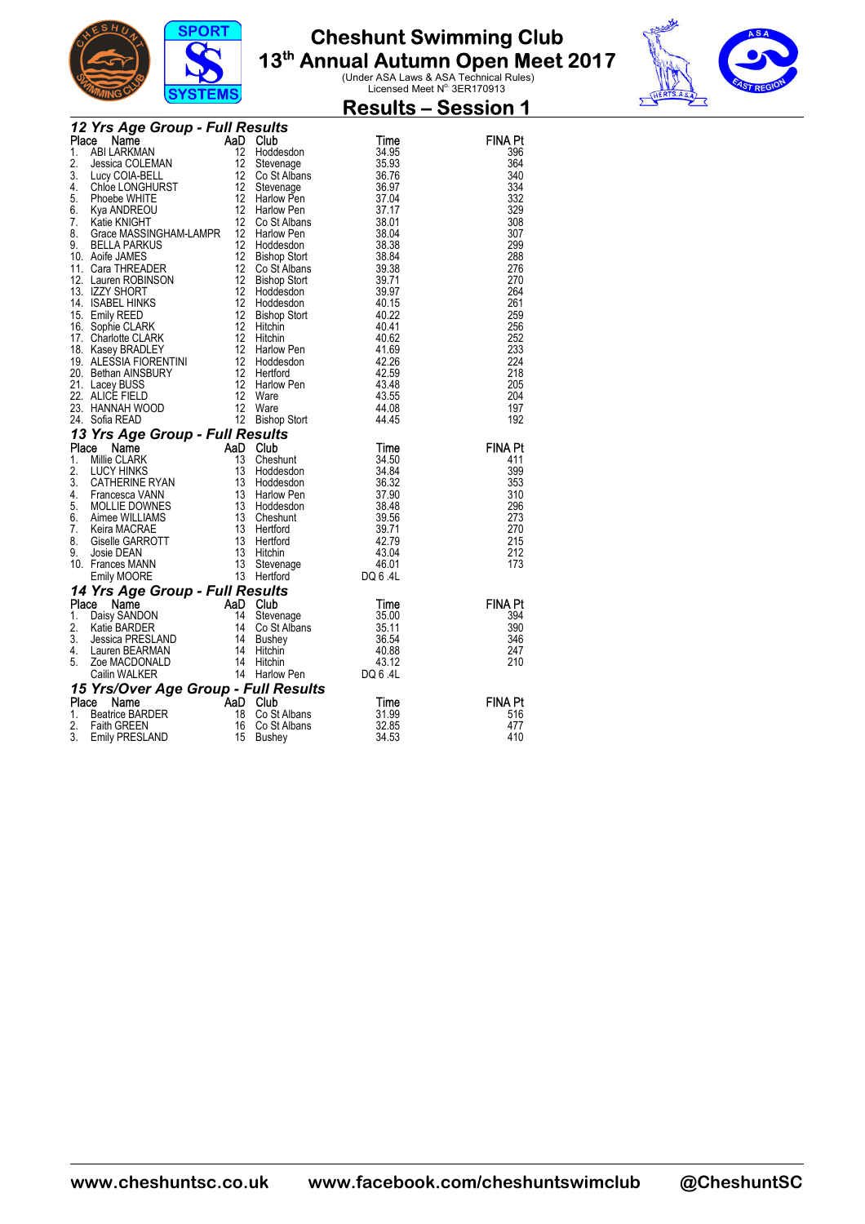



|  | $0101$ CMJ<br><b>12 Yrs Age Group - Full Results<br/> Place Name AaD Club<br/> 1. ABILARKMAN 12 Hoddesdon<br/> 2. Jessica COLEMAN 12 Stevenage<br/> COLARELL 12 Co St Albans</b>                                                                                     |       | <b>Results - Session 1</b> |
|--|----------------------------------------------------------------------------------------------------------------------------------------------------------------------------------------------------------------------------------------------------------------------|-------|----------------------------|
|  | <b>12 Yrs Age Group - Full Results<br/> Place Name<br/> 1. ABI LARKMAN 12 Hoddesdon<br/> 1. ABI LARKMAN 12 Hoddesdon<br/> 3. Lucy COIA-BELL<br/> 4. Chioe LONGHURST 12 Stevenage<br/> 4. Chioe LONGHURST 12 Go St Albans<br/> 6. Kya ANDREOU 12 Harlow Pen<br/> </b> |       |                            |
|  |                                                                                                                                                                                                                                                                      | Time  | <b>FINA Pt</b>             |
|  |                                                                                                                                                                                                                                                                      | 34.95 | 396                        |
|  |                                                                                                                                                                                                                                                                      | 35.93 | 364                        |
|  |                                                                                                                                                                                                                                                                      | 36.76 | 340                        |
|  |                                                                                                                                                                                                                                                                      | 36.97 | 334                        |
|  |                                                                                                                                                                                                                                                                      | 37.04 | 332                        |
|  |                                                                                                                                                                                                                                                                      | 37.17 | 329                        |
|  |                                                                                                                                                                                                                                                                      | 38.01 | 308                        |
|  |                                                                                                                                                                                                                                                                      | 38.04 | 307                        |
|  |                                                                                                                                                                                                                                                                      | 38.38 | 299                        |
|  |                                                                                                                                                                                                                                                                      | 38.84 | 288                        |
|  |                                                                                                                                                                                                                                                                      | 39.38 | 276                        |
|  |                                                                                                                                                                                                                                                                      | 39.71 | 270                        |
|  |                                                                                                                                                                                                                                                                      | 39.97 | 264                        |
|  |                                                                                                                                                                                                                                                                      | 40.15 | 261                        |
|  |                                                                                                                                                                                                                                                                      | 40.22 | 259                        |
|  |                                                                                                                                                                                                                                                                      | 40.41 | 256                        |
|  |                                                                                                                                                                                                                                                                      | 40.62 | 252                        |
|  |                                                                                                                                                                                                                                                                      | 41.69 | 233                        |
|  |                                                                                                                                                                                                                                                                      | 42.26 | 224                        |
|  |                                                                                                                                                                                                                                                                      | 42.59 | 218                        |
|  |                                                                                                                                                                                                                                                                      | 43.48 | 205                        |
|  |                                                                                                                                                                                                                                                                      | 43.55 | 204                        |
|  |                                                                                                                                                                                                                                                                      | 44.08 | 197                        |
|  |                                                                                                                                                                                                                                                                      | 44.45 | 192                        |
|  |                                                                                                                                                                                                                                                                      |       |                            |
|  | 24. Sofia READ 12 Bishop Stort 44.45<br><b>13 Yrs Age Group - Full Results</b><br><b>13 Yrs Age Group - Full Results</b><br>13 CATHERINE RYAN 13 Hoddesdon 34.84<br>2. LUCY HINKS 13 Hoddesdon 36.32<br>4. Francesca VANN 13 Hoddesdon 36.32<br>4. F                 |       | <b>FINA Pt</b>             |
|  |                                                                                                                                                                                                                                                                      |       | 411                        |
|  |                                                                                                                                                                                                                                                                      |       | 399                        |
|  |                                                                                                                                                                                                                                                                      |       | 353                        |
|  |                                                                                                                                                                                                                                                                      |       | 310                        |
|  |                                                                                                                                                                                                                                                                      |       | 296                        |
|  |                                                                                                                                                                                                                                                                      |       | 273                        |
|  |                                                                                                                                                                                                                                                                      |       | 270                        |
|  |                                                                                                                                                                                                                                                                      |       | 215                        |
|  |                                                                                                                                                                                                                                                                      |       | 212                        |
|  |                                                                                                                                                                                                                                                                      |       | 173                        |
|  |                                                                                                                                                                                                                                                                      |       |                            |
|  |                                                                                                                                                                                                                                                                      |       |                            |
|  |                                                                                                                                                                                                                                                                      |       | <b>FINA Pt</b>             |
|  |                                                                                                                                                                                                                                                                      |       | 394                        |
|  |                                                                                                                                                                                                                                                                      |       | 390                        |
|  |                                                                                                                                                                                                                                                                      |       | 346                        |
|  |                                                                                                                                                                                                                                                                      |       | 247                        |
|  |                                                                                                                                                                                                                                                                      |       | 210                        |
|  |                                                                                                                                                                                                                                                                      |       |                            |
|  | Emily MOORE<br>14 Yrs Age Group - Full Results<br>1. Daisy SANDON<br>1. Daisy SANDON<br>1. Daisy SANDON<br>1. Daisy SANDON<br>14 Stevenage<br>14 Stevenage<br>14 Stevenage<br>14 Stevenage<br>14 Stevenage<br>14 Stevenage<br>15 3.5.11<br>3. Jessica PR             |       |                            |
|  | Compare the Manufacture of Andre Cub<br>Beatrice BARDER<br>Faith GREEN 16 Co St<br>Emily PRESLAND 15 Bushe                                                                                                                                                           |       | <b>FINA Pt</b>             |
|  |                                                                                                                                                                                                                                                                      |       | 516                        |
|  |                                                                                                                                                                                                                                                                      |       | 477                        |
|  |                                                                                                                                                                                                                                                                      |       | 410                        |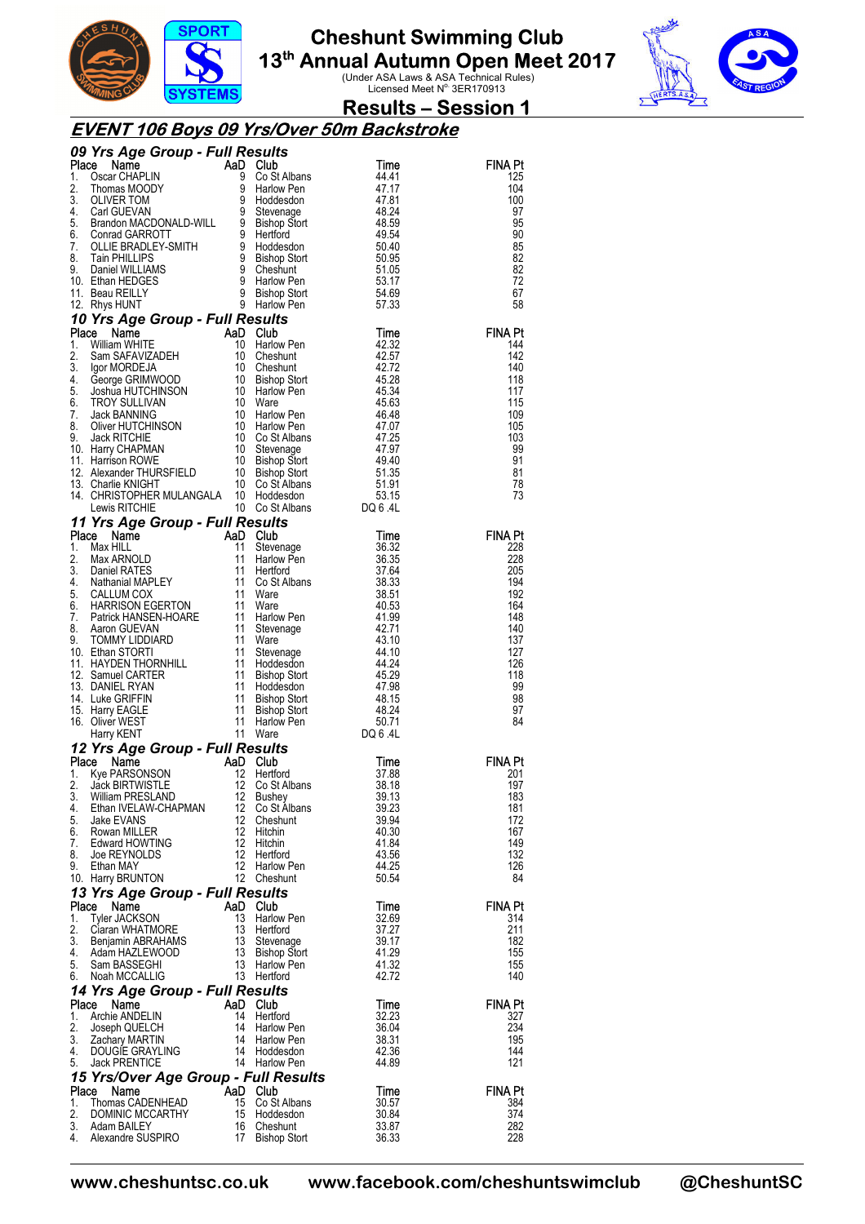



### **Results – Session 1**

### **EVENT 106 Boys 09 Yrs/Over 50m Backstroke**

|             | <b>09 Yrs Age Group - Full Results<br/> Place Name AaD Club Time<br/> 1. Oscar CHAPLIN 9 Co St Albans 44.41<br/> 2. Thomas MOODY 9 Harlow Pen<br/> 3. OLIVER TOM 9 Hoddesdon 47.81<br/> 4. Carl GUEVAN 9 Stevenage 48.24<br/> 5. Brandon MACDONALD-WILL </b> |          |                                                                                                   |                |                       |
|-------------|--------------------------------------------------------------------------------------------------------------------------------------------------------------------------------------------------------------------------------------------------------------|----------|---------------------------------------------------------------------------------------------------|----------------|-----------------------|
|             |                                                                                                                                                                                                                                                              |          |                                                                                                   |                | FINA Pt<br>125        |
|             |                                                                                                                                                                                                                                                              |          |                                                                                                   |                | 104                   |
|             |                                                                                                                                                                                                                                                              |          |                                                                                                   |                | 100                   |
|             |                                                                                                                                                                                                                                                              |          |                                                                                                   |                | 97                    |
|             |                                                                                                                                                                                                                                                              |          |                                                                                                   |                | 95<br>90              |
|             |                                                                                                                                                                                                                                                              |          |                                                                                                   |                | 85                    |
|             |                                                                                                                                                                                                                                                              |          |                                                                                                   |                | 82                    |
|             |                                                                                                                                                                                                                                                              |          |                                                                                                   |                | 82                    |
|             |                                                                                                                                                                                                                                                              |          |                                                                                                   |                | 72<br>67              |
|             |                                                                                                                                                                                                                                                              |          |                                                                                                   |                | 58                    |
|             | 12. Rhys HUNT 9 Harlow Pen 57.33<br>10 Yrs Age Group - Full Results<br>Place Name AaD Club Time<br>1. William WHITE 10 Harlow Pen 42.32<br>2. Sam SAFAVIZADEH 10 Cheshunt<br>4. George GRIMWOOD 10 Bishop Stort 45.28<br>5. Joshua HUTCHI                    |          |                                                                                                   |                |                       |
|             |                                                                                                                                                                                                                                                              |          |                                                                                                   |                | <b>FINA Pt</b>        |
|             |                                                                                                                                                                                                                                                              |          |                                                                                                   |                | 144                   |
|             |                                                                                                                                                                                                                                                              |          |                                                                                                   |                | 142<br>140            |
|             |                                                                                                                                                                                                                                                              |          |                                                                                                   |                | 118                   |
|             |                                                                                                                                                                                                                                                              |          |                                                                                                   |                | 117                   |
|             |                                                                                                                                                                                                                                                              |          |                                                                                                   |                | 115                   |
|             |                                                                                                                                                                                                                                                              |          |                                                                                                   |                | 109<br>105            |
|             |                                                                                                                                                                                                                                                              |          |                                                                                                   |                | 103                   |
|             |                                                                                                                                                                                                                                                              |          |                                                                                                   |                | 99                    |
|             |                                                                                                                                                                                                                                                              |          |                                                                                                   |                | 91                    |
|             |                                                                                                                                                                                                                                                              |          |                                                                                                   |                | 81<br>78              |
|             |                                                                                                                                                                                                                                                              |          |                                                                                                   |                | 73                    |
|             |                                                                                                                                                                                                                                                              |          |                                                                                                   |                |                       |
|             | Lewis RITCHIE 10 Co St Albans<br><b>11 Yrs Age Group - Full Results</b><br><b>Place Name AaD Club</b> Time<br>11 Stevenage 36.32<br>1. Max HILL 11 Stevenage 36.35<br>2. Max ARNOLD 11 Harlow Pen 36.35<br>3. Daniel RATES 11 Harlow Pen 36.35<br>4.         |          |                                                                                                   |                |                       |
|             |                                                                                                                                                                                                                                                              |          |                                                                                                   |                | <b>FINA Pt</b>        |
|             |                                                                                                                                                                                                                                                              |          |                                                                                                   |                | 228<br>228            |
|             |                                                                                                                                                                                                                                                              |          |                                                                                                   |                | 205                   |
|             |                                                                                                                                                                                                                                                              |          |                                                                                                   |                | 194                   |
|             |                                                                                                                                                                                                                                                              |          |                                                                                                   |                | 192<br>164            |
|             |                                                                                                                                                                                                                                                              |          |                                                                                                   |                | 148                   |
|             |                                                                                                                                                                                                                                                              |          |                                                                                                   |                | 140                   |
|             |                                                                                                                                                                                                                                                              |          |                                                                                                   |                | 137                   |
|             |                                                                                                                                                                                                                                                              |          |                                                                                                   |                | 127<br>126            |
|             |                                                                                                                                                                                                                                                              |          |                                                                                                   |                | 118                   |
|             |                                                                                                                                                                                                                                                              |          |                                                                                                   |                | 99                    |
|             |                                                                                                                                                                                                                                                              |          |                                                                                                   |                | 98                    |
|             |                                                                                                                                                                                                                                                              |          |                                                                                                   |                | 97<br>84              |
|             |                                                                                                                                                                                                                                                              |          |                                                                                                   |                |                       |
|             | 12 Yrs Age Group - Full Results<br><b>Yrs Age Group - Full Results<br/> Se Name AaD Club Time</b><br>$Kye$ PARSONSON 12 Hertford 37.88<br>Jack BIRTWISTLE 12 Co St Albans 38.18<br>William PRESLAND 12 Bushev 39.13                                          |          |                                                                                                   |                |                       |
|             | Place Name                                                                                                                                                                                                                                                   |          |                                                                                                   |                | <b>FINA Pt</b>        |
| 1.<br>2.    |                                                                                                                                                                                                                                                              |          |                                                                                                   |                | 201<br>197            |
|             | 3. William PRESLAND 12 Bushey                                                                                                                                                                                                                                |          |                                                                                                   | 39.13          | 183                   |
| 4.          | Ethan IVELAW-CHAPMAN 12 Co St Albans                                                                                                                                                                                                                         |          |                                                                                                   | 39.23          | 181                   |
| 5.          | Jake EVANS                                                                                                                                                                                                                                                   |          | 12 Cheshunt                                                                                       | 39.94          | 172                   |
|             | 6. Rowan MILLER<br>7. Edward HOWTING                                                                                                                                                                                                                         |          | 12 Hitchin                                                                                        | 40.30<br>41.84 | 167<br>149            |
| 8.          | Joe REYNOLDS                                                                                                                                                                                                                                                 |          |                                                                                                   | 43.56          | 132                   |
| 9.          | Ethan MAY                                                                                                                                                                                                                                                    |          | 12 Hitchin<br>12 Hertford<br>12 Harlow Pen                                                        | 44.25          | 126                   |
|             | 10. Harry BRUNTON                                                                                                                                                                                                                                            |          | 12 Cheshunt                                                                                       | 50.54          | 84                    |
|             | 13 Yrs Age Group - Full Results                                                                                                                                                                                                                              |          |                                                                                                   |                |                       |
| Place<br>1. | Name<br>Tyler JACKSON                                                                                                                                                                                                                                        | AaD Club |                                                                                                   | Time<br>32.69  | <b>FINA Pt</b><br>314 |
| 2.          |                                                                                                                                                                                                                                                              |          |                                                                                                   |                | 211                   |
|             |                                                                                                                                                                                                                                                              |          |                                                                                                   | 37.27          |                       |
|             | Ciaran WHATMORE                                                                                                                                                                                                                                              |          |                                                                                                   | 39.17          | 182                   |
|             | 3. Benjamin ABRAHAMS<br>4. Adam HAZLEWOOD                                                                                                                                                                                                                    |          |                                                                                                   | 41.29          | 155                   |
| 5.          | Sam BASSEGHI<br>6. Noah MCCALLIG                                                                                                                                                                                                                             |          |                                                                                                   | 41.32<br>42.72 | 155<br>140            |
|             |                                                                                                                                                                                                                                                              |          | 13 Harlow Pen<br>13 Harlow Pen<br>13 Stevenage<br>13 Bishop Stort<br>13 Harlow Pen<br>13 Hertford |                |                       |
| Place       | 14 Yrs Age Group - Full Results<br>Name                                                                                                                                                                                                                      | AaD Club |                                                                                                   | Time           | <b>FINA Pt</b>        |
| 1.          | Archie ANDELIN                                                                                                                                                                                                                                               |          | 14 Hertford                                                                                       | 32.23          | 327                   |
| 2.          | Joseph QUELCH<br>Zarban MARTIN                                                                                                                                                                                                                               |          | 14 Harlow Pen                                                                                     | 36.04          | 234                   |
|             | 3. Zachary MARTIN<br>4. DOUGIE GRAYLING                                                                                                                                                                                                                      |          | 14 Harlow Pen                                                                                     | 38.31<br>42.36 | 195<br>144            |
|             | 5. Jack PRENTICE                                                                                                                                                                                                                                             |          | 14 Hoddesdon<br>14 Harlow Pen                                                                     | 44.89          | 121                   |
|             | 15 Yrs/Over Age Group - Full Results                                                                                                                                                                                                                         |          |                                                                                                   |                |                       |
|             | Place Name                                                                                                                                                                                                                                                   | AaD Club |                                                                                                   | <b>Time</b>    | <b>FINA Pt</b>        |
| 1.<br>2.    | Thomas CADENHEAD<br>DOMINIC MCCARTHY                                                                                                                                                                                                                         |          |                                                                                                   | 30.57<br>30.84 | 384<br>374            |
|             | 3. Adam BAILEY<br>4. Alexandre SUSPIRO                                                                                                                                                                                                                       |          | 15 Co St Albans<br>15 Hoddesdon<br>16 Cheshunt<br>17 Bishop Stort                                 | 33.87<br>36.33 | 282<br>228            |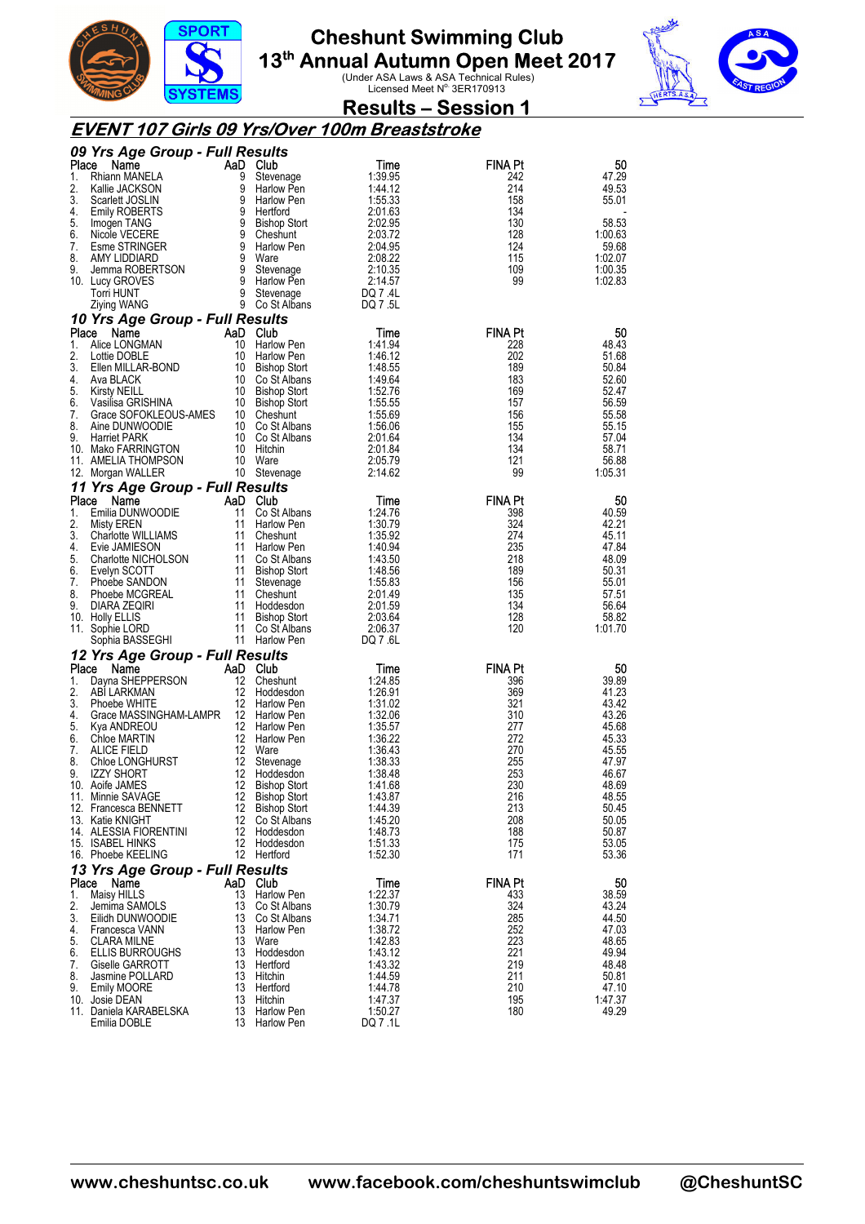



## **Results – Session 1**

### **EVENT 107 Girls 09 Yrs/Over 100m Breaststroke**

|          | 09 Yrs Age Group - Full Results            |          |                                 |                    |                |                  |
|----------|--------------------------------------------|----------|---------------------------------|--------------------|----------------|------------------|
| Place    | Name                                       |          | AaD Club                        | Time               | <b>FINA Pt</b> | 50               |
| 1.<br>2. | Rhiann MANELA                              | 9<br>9   | Stevenage                       | 1:39.95<br>1:44.12 | 242<br>214     | 47.29<br>49.53   |
| 3.       | Kallie JACKSON<br>Scarlett JOSLIN          | 9        | Harlow Pen<br>Harlow Pen        | 1:55.33            | 158            | 55.01            |
| 4.       | <b>Emily ROBERTS</b>                       | 9        | Hertford                        | 2:01.63            | 134            |                  |
| 5.       | Imogen TANG                                |          | 9 Bishop Stort                  | 2:02.95            | 130            | 58.53            |
| 6.       | Nicole VECERE                              |          | 9 Cheshunt                      | 2:03.72            | 128            | 1:00.63          |
| 7.       | Esme STRINGER                              |          | 9 Harlow Pen                    | 2:04.95            | 124            | 59.68            |
| 8.       | AMY LIDDIARD                               |          | 9 Ware                          | 2:08.22            | 115            | 1:02.07          |
| 9.       | Jemma ROBERTSON                            | 9<br>9   | Stevenage                       | 2:10.35            | 109            | 1:00.35          |
|          | 10. Lucy GROVES<br>Torri HUNT              |          | Harlow Pen<br>9 Stevenage       | 2:14.57<br>DQ 7.4L | 99             | 1:02.83          |
|          | Ziying WANG                                |          | 9 Co St Albans                  | DQ 7.5L            |                |                  |
|          | 10 Yrs Age Group - Full Results            |          |                                 |                    |                |                  |
| Place    | Name                                       |          | AaD Club                        | Time               | <b>FINA Pt</b> | 50               |
| 1.       | Alice LONGMAN                              | 10       | <b>Harlow Pen</b>               | 1:41.94            | 228            | 48.43            |
| 2.       | Lottie DOBLE                               | 10       | Harlow Pen                      | 1:46.12            | 202            | 51.68            |
| 3.       | Ellen MILLAR-BOND                          |          | 10 Bishop Stort                 | 1:48.55            | 189            | 50.84            |
| 4.       | Ava BLACK                                  |          | 10 Co St Albans                 | 1:49.64            | 183            | 52.60            |
| 5.       | <b>Kirsty NEILL</b>                        |          | 10 Bishop Stort                 | 1:52.76            | 169            | 52.47            |
| 6.<br>7. | Vasilisa GRISHINA<br>Grace SOFOKLEOUS-AMES |          | 10 Bishop Stort                 | 1:55.55<br>1:55.69 | 157<br>156     | 56.59<br>55.58   |
| 8.       | Aine DUNWOODIE                             |          | 10 Cheshunt<br>10 Co St Albans  | 1:56.06            | 155            | 55.15            |
| 9.       | <b>Harriet PARK</b>                        |          | 10 Co St Albans                 | 2:01.64            | 134            | 57.04            |
|          | 10. Mako FARRINGTON                        |          | 10 Hitchin                      | 2:01.84            | 134            | 58.71            |
|          | 11. AMELIA THOMPSON                        |          | 10 Ware                         | 2:05.79            | 121            | 56.88            |
|          | 12. Morgan WALLER                          |          | 10 Stevenage                    | 2:14.62            | 99             | 1:05.31          |
|          | 11 Yrs Age Group - Full Results            |          |                                 |                    |                |                  |
| Place    | Name                                       |          | AaD Club                        | Time               | <b>FINA Pt</b> | 50               |
| 1.       | Emilia DUNWOODIE                           | 11       | Co St Albans                    | 1:24.76            | 398            | 40.59            |
| 2.       | <b>Misty EREN</b>                          | 11       | Harlow Pen                      | 1:30.79            | 324            | 42.21            |
| 3.<br>4. | Charlotte WILLIAMS<br>Evie JAMIESON        | 11       | Cheshunt<br>11 Harlow Pen       | 1:35.92<br>1:40.94 | 274<br>235     | 45.11<br>47.84   |
| 5.       | Charlotte NICHOLSON                        |          | 11 Co St Albans                 | 1:43.50            | 218            | 48.09            |
| 6.       | Evelyn SCOTT                               |          | 11 Bishop Stort                 | 1:48.56            | 189            | 50.31            |
| 7.       | Phoebe SANDON                              | 11       | Stevenage                       | 1:55.83            | 156            | 55.01            |
| 8.       | Phoebe MCGREAL                             |          | 11 Cheshunt                     | 2:01.49            | 135            | 57.51            |
| 9.       | DIARA ZEQIRI                               |          | 11 Hoddesdon                    | 2:01.59            | 134            | 56.64            |
|          | 10. Holly ELLIS                            | 11       | Bishop Stort                    | 2:03.64            | 128            | 58.82            |
|          | 11. Sophie LORD                            |          | 11 Co St Albans                 | 2:06.37            | 120            | 1:01.70          |
|          | Sophia BASSEGHI                            |          | 11 Harlow Pen                   | DQ 7.6L            |                |                  |
| Place    | 12 Yrs Age Group - Full Results            |          | AaD Club                        |                    | <b>FINA Pt</b> |                  |
| 1.       | Name<br>Dayna SHEPPERSON                   | 12       | Cheshunt                        | Time<br>1:24.85    | 396            | 50<br>39.89      |
| 2.       | ABI LARKMAN                                | 12       | Hoddesdon                       | 1:26.91            | 369            | 41.23            |
| 3.       | Phoebe WHITE                               |          | 12 Harlow Pen                   | 1:31.02            | 321            | 43.42            |
| 4.       | Grace MASSINGHAM-LAMPR                     |          | 12 Harlow Pen                   | 1:32.06            | 310            | 43.26            |
| 5.       | Kya ANDREOU                                |          | 12 Harlow Pen                   | 1:35.57            | 277            | 45.68            |
| 6.       | Chloe MARTIN                               |          | 12 Harlow Pen                   | 1:36.22            | 272            | 45.33            |
| 7.       | <b>ALICE FIELD</b>                         |          | 12 Ware                         | 1:36.43            | 270            | 45.55            |
| 8.<br>9. | Chloe LONGHURST<br><b>IZZY SHORT</b>       | 12<br>12 | Stevenage<br>Hoddesdon          | 1:38.33<br>1:38.48 | 255<br>253     | 47.97<br>46.67   |
|          | 10. Aoife JAMES                            | 12       | <b>Bishop Stort</b>             | 1:41.68            | 230            | 48.69            |
|          | 11. Minnie SAVAGE                          | 12       | <b>Bishop Stort</b>             | 1:43.87            | 216            | 48.55            |
|          | 12. Francesca BENNETT                      |          | 12 Bishop Stort                 | 1:44.39            | 213            | 50.45            |
|          | 13. Katie KNIGHT                           |          | 12 Co St Albans                 | 1:45.20            | 208            | 50.05            |
|          | 14. ALESSIA FIORENTINI                     |          | 12 Hoddesdon                    | 1:48.73            | 188            | 50.87            |
|          | 15. ISABEL HINKS                           |          | 12 Hoddesdon                    | 1:51.33            | 175            | 53.05            |
|          | 16. Phoebe KEELING                         |          | 12 Hertford                     | 1:52.30            | 171            | 53.36            |
|          | 13 Yrs Age Group - Full Results            |          |                                 |                    |                |                  |
| Place    | Name                                       |          | AaD Club                        | Time               | <b>FINA Pt</b> | 50               |
| 1.<br>2. | Maisy HILLS                                | 13       | Harlow Pen                      | 1:22.37<br>1:30.79 | 433<br>324     | 38.59            |
| 3.       | Jemima SAMOLS<br>Eilidh DUNWOODIE          | 13       | Co St Albans<br>13 Co St Albans | 1:34.71            | 285            | 43.24<br>44.50   |
| 4.       | Francesca VANN                             |          | 13 Harlow Pen                   | 1:38.72            | 252            | 47.03            |
| 5.       | CLARA MILNE                                | 13       | Ware                            | 1:42.83            | 223            | 48.65            |
| 6.       | <b>ELLIS BURROUGHS</b>                     | 13       | Hoddesdon                       | 1:43.12            | 221            | 49.94            |
| 7.       | Giselle GARROTT                            |          | 13 Hertford                     | 1:43.32            | 219            | 48.48            |
| 8.       | Jasmine POLLARD                            | 13       | Hitchin                         | 1:44.59            | 211            | 50.81            |
| 9.       | <b>Emily MOORE</b>                         |          | 13 Hertford                     | 1:44.78            | 210            | 47.10            |
|          | 10. Josie DEAN<br>11. Daniela KARABELSKA   | 13       | Hitchin<br>13 Harlow Pen        | 1:47.37<br>1:50.27 | 195<br>180     | 1:47.37<br>49.29 |
|          | Emilia DOBLE                               |          | 13 Harlow Pen                   | DQ 7 .1L           |                |                  |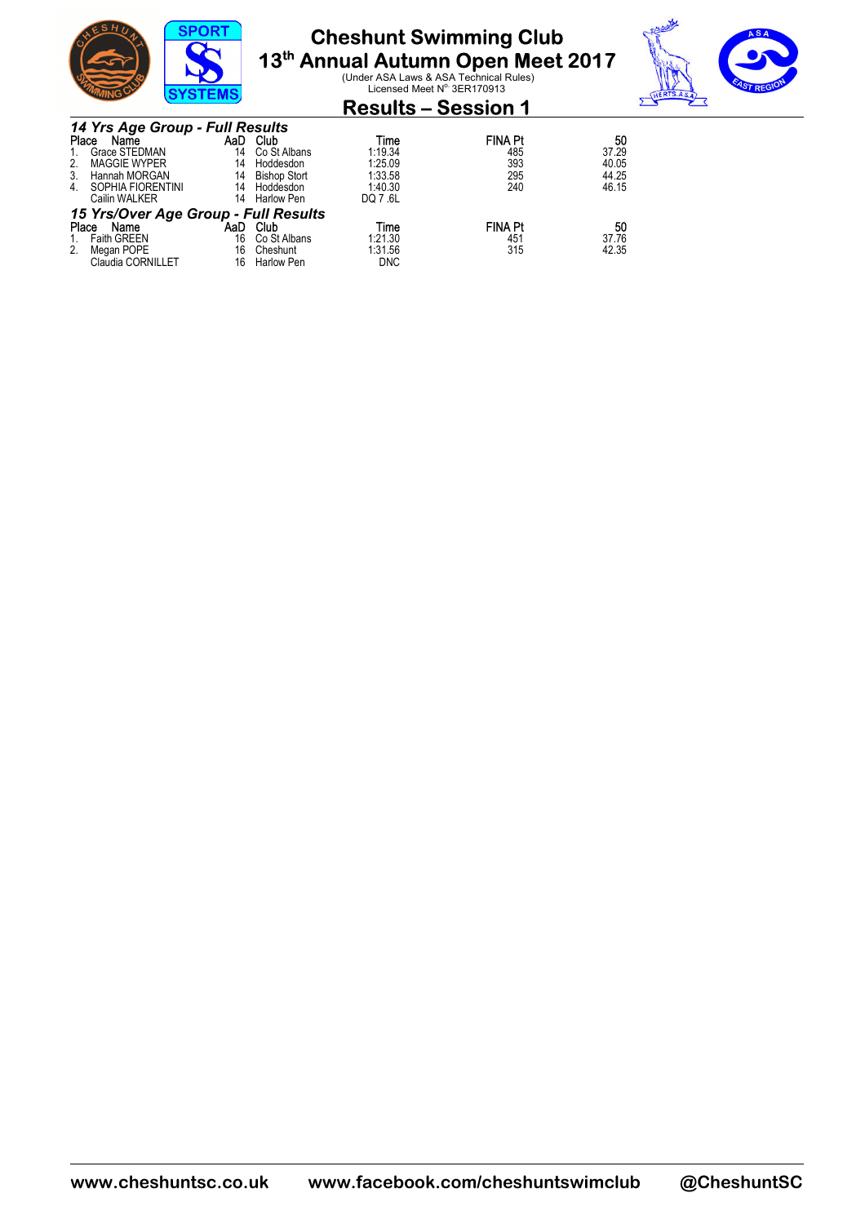

**13<sup>th</sup> Annual Autumn Open Meet 2017**<br>Under ASA Laws & ASA Technical Rules)<br>Licensed Meet N<sup>o.</sup> 3ER170913



| <b>EMING</b>                         | <b>SYSIEMS</b> |                     | LIGGIBCG INGCLIS OLIVITOOTO |                |       |
|--------------------------------------|----------------|---------------------|-----------------------------|----------------|-------|
|                                      |                |                     | <b>Results – Session 1</b>  |                |       |
| 14 Yrs Age Group - Full Results      |                |                     |                             |                |       |
| Place<br>Name                        | AaD            | Club                | Time                        | <b>FINA Pt</b> | 50    |
| Grace STEDMAN<br>1.                  | 14             | Co St Albans        | 1:19.34                     | 485            | 37.29 |
| 2.<br>MAGGIE WYPER                   | 14             | Hoddesdon           | 1:25.09                     | 393            | 40.05 |
| 3. Hannah MORGAN                     | 14             | <b>Bishop Stort</b> | 1:33.58                     | 295            | 44.25 |
| SOPHIA FIORENTINI<br>4.              | 14             | Hoddesdon           | 1:40.30                     | 240            | 46.15 |
| Cailin WALKER                        | 14             | Harlow Pen          | DQ 7.6L                     |                |       |
| 15 Yrs/Over Age Group - Full Results |                |                     |                             |                |       |
| Place<br>Name                        | AaD            | Club                | Time                        | <b>FINA Pt</b> | 50    |
| <b>Faith GREEN</b><br>1.             | 16             | Co St Albans        | 1:21.30                     | 451            | 37.76 |
| 2.<br>Megan POPE                     | 16             | Cheshunt            | 1:31.56                     | 315            | 42.35 |
| Claudia CORNILLET                    | 16             | <b>Harlow Pen</b>   | <b>DNC</b>                  |                |       |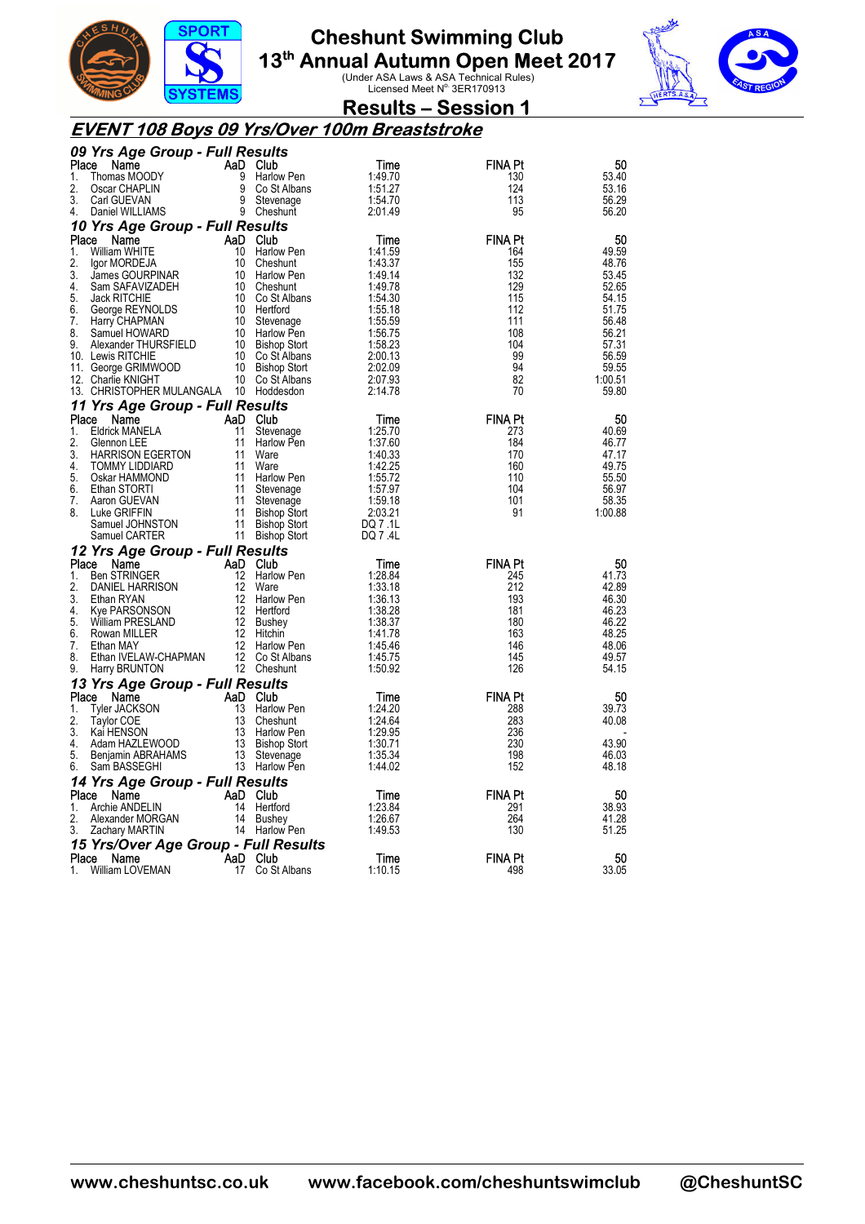



### **Results – Session 1**

### **EVENT 108 Boys 09 Yrs/Over 100m Breaststroke**

|             | 09 Yrs Age Group - Full Results        |                   |                                |                    |                       |                |
|-------------|----------------------------------------|-------------------|--------------------------------|--------------------|-----------------------|----------------|
| Place       | Name                                   |                   | AaD Club                       | Time               | FINA Pt               | 50             |
| 1.          | Thomas MOODY                           | 9                 | Harlow Pen                     | 1:49.70            | 130                   | 53.40          |
| 2.          | Oscar CHAPLIN                          | 9                 | Co St Albans                   | 1:51.27            | 124                   | 53.16          |
| 3.          | Carl GUEVAN                            | 9                 | Stevenage                      | 1:54.70            | 113                   | 56.29          |
| 4.          | Daniel WILLIAMS                        |                   | 9 Cheshunt                     | 2:01.49            | 95                    | 56.20          |
|             | 10 Yrs Age Group - Full Results        |                   |                                |                    |                       |                |
| Place       | Name                                   |                   | AaD Club                       | Time               | <b>FINA Pt</b>        | 50             |
| 1.          | William WHITE                          | 10                | Harlow Pen                     | 1:41.59            | 164                   | 49.59          |
| 2.          | Igor MORDEJA                           | 10                | Cheshunt                       | 1:43.37            | 155                   | 48.76          |
| 3.          | James GOURPINAR                        | 10                | Harlow Pen                     | 1:49.14            | 132                   | 53.45          |
| 4.          | Sam SAFAVIZADEH                        | 10                | Cheshunt                       | 1:49.78            | 129                   | 52.65          |
| 5.<br>6.    | <b>Jack RITCHIE</b><br>George REYNOLDS |                   | 10 Co St Albans<br>10 Hertford | 1:54.30            | 115<br>112            | 54.15<br>51.75 |
| 7.          | Harry CHAPMAN                          | 10                | Stevenage                      | 1:55.18<br>1:55.59 | 111                   | 56.48          |
| 8.          | Samuel HOWARD                          | 10                | Harlow Pen                     | 1:56.75            | 108                   | 56.21          |
| 9.          | Alexander THURSFIELD                   | 10                | <b>Bishop Stort</b>            | 1:58.23            | 104                   | 57.31          |
|             | 10. Lewis RITCHIE                      |                   | 10 Co St Albans                | 2:00.13            | 99                    | 56.59          |
|             | 11. George GRIMWOOD                    |                   | 10 Bishop Stort                | 2:02.09            | 94                    | 59.55          |
|             | 12. Charlie KNIGHT                     |                   | 10 Co St Albans                | 2:07.93            | 82                    | 1:00.51        |
|             | 13. CHRISTOPHER MULANGALA 10 Hoddesdon |                   |                                | 2:14.78            | 70                    | 59.80          |
|             | 11 Yrs Age Group - Full Results        |                   |                                |                    |                       |                |
| Place       | Name                                   | AaD               | Club                           | Time               | <b>FINA Pt</b>        | 50             |
| 1.          | <b>Eldrick MANELA</b>                  | 11                | Stevenage                      | 1:25.70            | 273                   | 40.69          |
| 2.          | Glennon LEE                            | 11                | Harlow Pen                     | 1:37.60            | 184                   | 46.77          |
| 3.          | <b>HARRISON EGERTON</b>                | 11                | Ware                           | 1:40.33            | 170                   | 47.17          |
| 4.          | TOMMY LIDDIARD                         | 11                | Ware                           | 1:42.25            | 160                   | 49.75          |
| 5.          | Oskar HAMMOND                          | 11                | Harlow Pen                     | 1:55.72            | 110                   | 55.50          |
| 6.          | Ethan STORTI                           | 11                | Stevenage                      | 1:57.97            | 104                   | 56.97          |
| 7.          | Aaron GUEVAN                           | 11                | Stevenage                      | 1:59.18            | 101                   | 58.35          |
|             |                                        |                   |                                |                    |                       |                |
| 8.          | Luke GRIFFIN                           | 11                | Bishop Stort                   | 2:03.21            | 91                    | 1:00.88        |
|             | Samuel JOHNSTON                        | 11                | <b>Bishop Stort</b>            | DQ 7 .1L           |                       |                |
|             | Samuel CARTER                          |                   | 11 Bishop Stort                | DQ 7.4L            |                       |                |
|             | 12 Yrs Age Group - Full Results        |                   |                                |                    |                       |                |
| Place       | Name                                   | AaD Club          |                                | Time               | <b>FINA Pt</b>        | 50             |
| 1.          | <b>Ben STRINGER</b>                    | 12                | Harlow Pen                     | 1:28.84            | 245                   | 41.73          |
| 2.          | DANIEL HARRISON                        | 12                | Ware                           | 1:33.18            | 212                   | 42.89          |
| 3.          | Ethan RYAN                             | $12 \overline{ }$ | Harlow Pen                     | 1:36.13            | 193                   | 46.30          |
| 4.          | Kye PARSONSON                          | 12                | Hertford                       | 1:38.28            | 181                   | 46.23          |
| 5.          | William PRESLAND                       | 12                | Bushey                         | 1:38.37            | 180                   | 46.22          |
| 6.<br>7.    | Rowan MILLER<br>Ethan MAY              | 12 <sup>2</sup>   | 12 Hitchin<br>Harlow Pen       | 1:41.78<br>1:45.46 | 163<br>146            | 48.25<br>48.06 |
| 8.          | Ethan IVELAW-CHAPMAN                   |                   | 12 Co St Albans                | 1:45.75            | 145                   | 49.57          |
| 9.          | Harry BRUNTON                          |                   | 12 Cheshunt                    | 1:50.92            | 126                   | 54.15          |
|             |                                        |                   |                                |                    |                       |                |
|             | 13 Yrs Age Group - Full Results        |                   |                                |                    |                       |                |
| Place<br>1. | Name                                   | 13                | AaD Club<br>Harlow Pen         | Time<br>1:24.20    | <b>FINA Pt</b><br>288 | 50<br>39.73    |
| 2.          | Tyler JACKSON<br>Taylor COE            | 13                | Cheshunt                       | 1:24.64            | 283                   | 40.08          |
| 3.          | Kai HENSON                             |                   | 13 Harlow Pen                  | 1:29.95            | 236                   |                |
| 4.          | Adam HAZLEWOOD                         |                   | 13 Bishop Stort                | 1:30.71            | 230                   | 43.90          |
| 5.          | Benjamin ABRAHAMS                      | 13                | Stevenage                      | 1:35.34            | 198                   | 46.03          |
| 6.          | Sam BASSEGHI                           |                   | 13 Harlow Pen                  | 1:44.02            | 152                   | 48.18          |
|             | 14 Yrs Age Group - Full Results        |                   |                                |                    |                       |                |
| Place       | Name                                   | AaD               | Club                           | Time               | <b>FINA Pt</b>        | 50             |
| 1.          | Archie ANDELIN                         | 14                | Hertford                       | 1:23.84            | 291                   | 38.93          |
| 2.          | Alexander MORGAN                       |                   | 14 Bushey                      | 1:26.67            | 264                   | 41.28          |
| 3.          | Zachary MARTIN                         |                   | 14 Harlow Pen                  | 1:49.53            | 130                   | 51.25          |
|             | 15 Yrs/Over Age Group - Full Results   |                   |                                |                    |                       |                |
| Place<br>1. | Name<br>William LOVEMAN                | AaD Club          | 17 Co St Albans                | Time<br>1:10.15    | <b>FINA Pt</b><br>498 | 50<br>33.05    |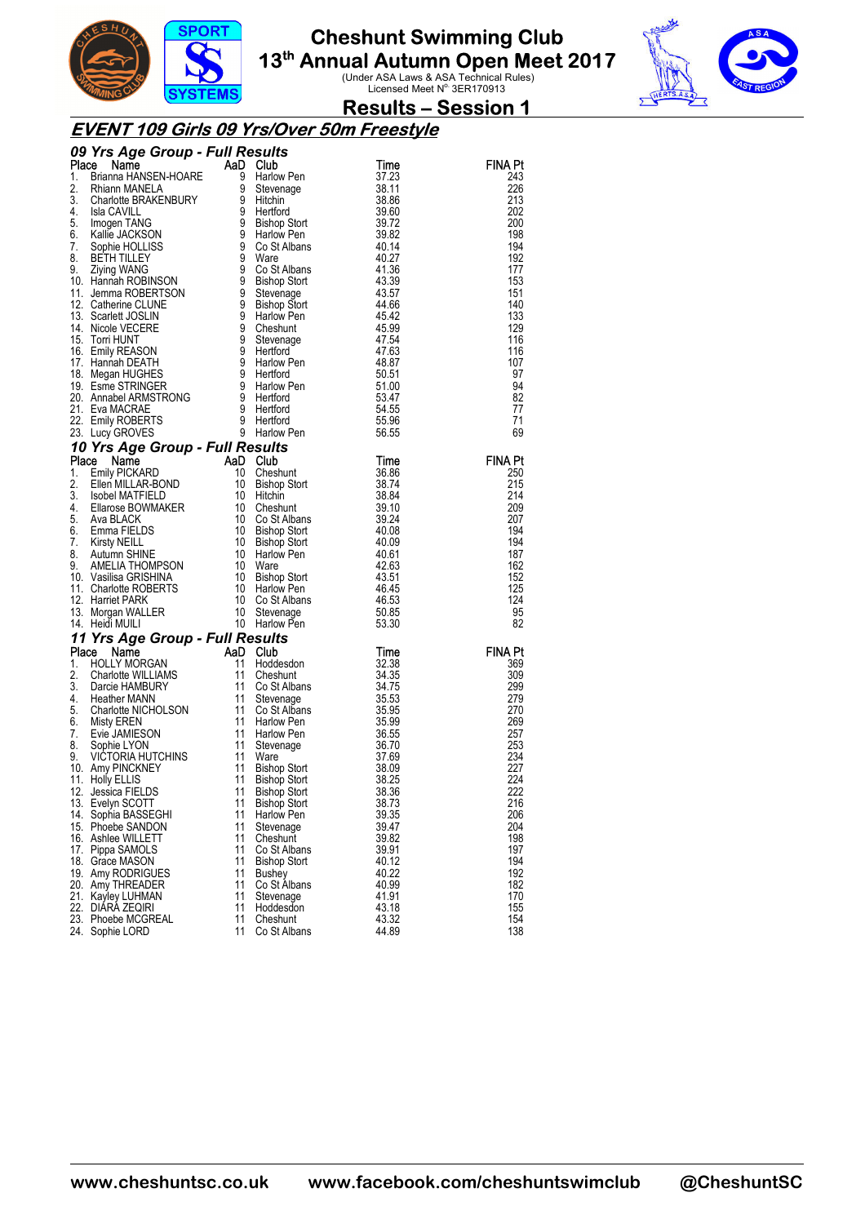



### **Results – Session 1**

### **EVENT 109 Girls 09 Yrs/Over 50m Freestyle**

| FINA Pt<br>Time<br><b>Yrs Aye – Command HANSEN-HOARE</b><br>Brianna HANSEN-HOARE<br>Rhiann MANELA 9 Stevenage<br>Charlotte BRAKENBURY 9 Hittichin<br>Isla CAVILLEY 9 Ware<br>Specifical URCKSON<br>Specifical URCKSON 9 Harlow Pen<br>Specifical URCKSON 9 Cost Alba<br>37.23<br>243<br>38.11<br>226<br>38.86<br>213<br>39.60<br>202<br>39.72<br>200<br>198<br>39.82<br>194<br>40.14<br>40.27<br>192<br>41.36<br>177<br>153<br>43.39<br>43.57<br>151<br>140<br>44.66<br>133<br>45.42<br>129<br>45.99<br>116<br>47.54<br>116<br>47.63<br>48.87<br>107<br>50.51<br>97<br>94<br>51.00<br>53.47<br>82<br>54.55<br>77<br>71<br>55.96<br>69<br>56.55<br>10 Yrs Age Group - Full Re<br>Place Name AaD<br>1. Emily PICKARD 10<br>2. Ellen MILLAR-BOND 10<br>3. Isobel MATFIELD 10<br>4. Ellarose BOWMAKER 10<br>6. Emma FIELDS 6<br>6. Emma FIELDS 10<br>7. Kirsty NEILL 8. Autumn SHINE 10<br>8. Autumn S<br>FINA Pt<br>Time<br>Cheshunt<br>36.86<br>250<br>215<br>38.74<br><b>Bishop Stort</b><br>38.84<br>214<br>Hitchin<br>209<br>Cheshunt<br>39.10<br>207<br>Co St Albans<br>39.24<br>194<br>40.08<br>Bishop Stort<br>194<br>40.09<br>Bishop Stort<br>187<br>40.61<br>Harlow Pen<br>162<br>42.63<br>Ware<br>152<br>Bishop Stort<br>43.51<br>125<br>46.45<br>Harlow Pen<br>124<br>Co St Albans<br>46.53<br>Stevenage<br>50.85<br>95<br>82<br>Harlow Pen<br>53.30<br>11 Yrs Age Group - Full Results<br>Place<br><b>Yrs Age Group</b><br><b>AaD</b><br>HOLLY MORGAN<br>HOLLY MORGAN<br>Charlotte WILLIAMS<br>Darcie HAMBURY<br>Mann 11<br>Mann 11<br>Mann 11<br>Mann 11<br>Mann 11<br>Mann 11<br>Club<br>Time<br>FINA Pt<br>32.38<br>1.<br>Hoddesdon<br>369<br>2.<br>309<br>34.35<br>Cheshunt<br>3.<br>299<br>Co St Albans<br>34.75<br>279<br>4.<br>35.53<br>Stevenage<br>Heather MANN<br>Charlotte NICHOLSON<br>Misty EREN<br>Evie JAMIESON<br>Sophie LYON<br>VICTORIA HUTCHINS<br>Amy PINCKNEY<br>Holly ELLIS<br>Holly ELLIS<br>5.<br>35.95<br>270<br>Co St Albans<br>35.99<br>269<br>6.<br><b>Harlow Pen</b><br>36.55<br>257<br>7.<br>Harlow Pen<br>8.<br>36.70<br>253<br>Stevenage<br>234<br>9.<br>37.69<br>Ware<br>38.09<br>227<br>10. Amy PINCKNEY<br>Bishop Stort<br>Bishop Stort<br>Bishop Stort<br>38.25<br>224<br>11. Holly ELLIS<br>11<br>222<br>12. Jessica FIELDS<br><b>Bishop Stort</b><br>38.36<br>13. Evelyn SCOTT<br>11<br><b>Bishop Stort</b><br>38.73<br>216<br>39.35<br>14. Sophia BASSEGHI<br>11<br>206<br>Harlow Pen<br>11<br>39.47<br>204<br>15. Phoebe SANDON<br>Stevenage<br>11<br>39.82<br>198<br>16. Ashlee WILLETT<br>Cheshunt<br>11<br>39.91<br>197<br>17. Pippa SAMOLS<br>Co St Albans<br>11<br>194<br>18. Grace MASON<br><b>Bishop Stort</b><br>40.12<br>19. Amy RODRIGUES<br>11<br>40.22<br>192<br>Bushey<br>11<br>182<br>Co St Albans<br>40.99<br>20. Amy THREADER<br>11<br>41.91<br>170<br>21. Kayley LUHMAN<br>Stevenage<br>22. DIÁRÁ ZEQIRI<br>11<br>43.18<br>155<br>Hoddesdon<br>154<br>23. Phoebe MCGREAL<br>11<br>43.32<br>Cheshunt<br>11<br>44.89<br>138<br>Co St Albans<br>24. Sophie LORD |  |  |  |
|--------------------------------------------------------------------------------------------------------------------------------------------------------------------------------------------------------------------------------------------------------------------------------------------------------------------------------------------------------------------------------------------------------------------------------------------------------------------------------------------------------------------------------------------------------------------------------------------------------------------------------------------------------------------------------------------------------------------------------------------------------------------------------------------------------------------------------------------------------------------------------------------------------------------------------------------------------------------------------------------------------------------------------------------------------------------------------------------------------------------------------------------------------------------------------------------------------------------------------------------------------------------------------------------------------------------------------------------------------------------------------------------------------------------------------------------------------------------------------------------------------------------------------------------------------------------------------------------------------------------------------------------------------------------------------------------------------------------------------------------------------------------------------------------------------------------------------------------------------------------------------------------------------------------------------------------------------------------------------------------------------------------------------------------------------------------------------------------------------------------------------------------------------------------------------------------------------------------------------------------------------------------------------------------------------------------------------------------------------------------------------------------------------------------------------------------------------------------------------------------------------------------------------------------------------------------------------------------------------------------------------------------------------------------------------------------------------------------------------------------------------------------------------------------------------------------------------------------------------------------------------------------------------------------------------------------------------------------------------------------------------------------------------|--|--|--|
|                                                                                                                                                                                                                                                                                                                                                                                                                                                                                                                                                                                                                                                                                                                                                                                                                                                                                                                                                                                                                                                                                                                                                                                                                                                                                                                                                                                                                                                                                                                                                                                                                                                                                                                                                                                                                                                                                                                                                                                                                                                                                                                                                                                                                                                                                                                                                                                                                                                                                                                                                                                                                                                                                                                                                                                                                                                                                                                                                                                                                                |  |  |  |
|                                                                                                                                                                                                                                                                                                                                                                                                                                                                                                                                                                                                                                                                                                                                                                                                                                                                                                                                                                                                                                                                                                                                                                                                                                                                                                                                                                                                                                                                                                                                                                                                                                                                                                                                                                                                                                                                                                                                                                                                                                                                                                                                                                                                                                                                                                                                                                                                                                                                                                                                                                                                                                                                                                                                                                                                                                                                                                                                                                                                                                |  |  |  |
|                                                                                                                                                                                                                                                                                                                                                                                                                                                                                                                                                                                                                                                                                                                                                                                                                                                                                                                                                                                                                                                                                                                                                                                                                                                                                                                                                                                                                                                                                                                                                                                                                                                                                                                                                                                                                                                                                                                                                                                                                                                                                                                                                                                                                                                                                                                                                                                                                                                                                                                                                                                                                                                                                                                                                                                                                                                                                                                                                                                                                                |  |  |  |
|                                                                                                                                                                                                                                                                                                                                                                                                                                                                                                                                                                                                                                                                                                                                                                                                                                                                                                                                                                                                                                                                                                                                                                                                                                                                                                                                                                                                                                                                                                                                                                                                                                                                                                                                                                                                                                                                                                                                                                                                                                                                                                                                                                                                                                                                                                                                                                                                                                                                                                                                                                                                                                                                                                                                                                                                                                                                                                                                                                                                                                |  |  |  |
|                                                                                                                                                                                                                                                                                                                                                                                                                                                                                                                                                                                                                                                                                                                                                                                                                                                                                                                                                                                                                                                                                                                                                                                                                                                                                                                                                                                                                                                                                                                                                                                                                                                                                                                                                                                                                                                                                                                                                                                                                                                                                                                                                                                                                                                                                                                                                                                                                                                                                                                                                                                                                                                                                                                                                                                                                                                                                                                                                                                                                                |  |  |  |
|                                                                                                                                                                                                                                                                                                                                                                                                                                                                                                                                                                                                                                                                                                                                                                                                                                                                                                                                                                                                                                                                                                                                                                                                                                                                                                                                                                                                                                                                                                                                                                                                                                                                                                                                                                                                                                                                                                                                                                                                                                                                                                                                                                                                                                                                                                                                                                                                                                                                                                                                                                                                                                                                                                                                                                                                                                                                                                                                                                                                                                |  |  |  |
|                                                                                                                                                                                                                                                                                                                                                                                                                                                                                                                                                                                                                                                                                                                                                                                                                                                                                                                                                                                                                                                                                                                                                                                                                                                                                                                                                                                                                                                                                                                                                                                                                                                                                                                                                                                                                                                                                                                                                                                                                                                                                                                                                                                                                                                                                                                                                                                                                                                                                                                                                                                                                                                                                                                                                                                                                                                                                                                                                                                                                                |  |  |  |
|                                                                                                                                                                                                                                                                                                                                                                                                                                                                                                                                                                                                                                                                                                                                                                                                                                                                                                                                                                                                                                                                                                                                                                                                                                                                                                                                                                                                                                                                                                                                                                                                                                                                                                                                                                                                                                                                                                                                                                                                                                                                                                                                                                                                                                                                                                                                                                                                                                                                                                                                                                                                                                                                                                                                                                                                                                                                                                                                                                                                                                |  |  |  |
|                                                                                                                                                                                                                                                                                                                                                                                                                                                                                                                                                                                                                                                                                                                                                                                                                                                                                                                                                                                                                                                                                                                                                                                                                                                                                                                                                                                                                                                                                                                                                                                                                                                                                                                                                                                                                                                                                                                                                                                                                                                                                                                                                                                                                                                                                                                                                                                                                                                                                                                                                                                                                                                                                                                                                                                                                                                                                                                                                                                                                                |  |  |  |
|                                                                                                                                                                                                                                                                                                                                                                                                                                                                                                                                                                                                                                                                                                                                                                                                                                                                                                                                                                                                                                                                                                                                                                                                                                                                                                                                                                                                                                                                                                                                                                                                                                                                                                                                                                                                                                                                                                                                                                                                                                                                                                                                                                                                                                                                                                                                                                                                                                                                                                                                                                                                                                                                                                                                                                                                                                                                                                                                                                                                                                |  |  |  |
|                                                                                                                                                                                                                                                                                                                                                                                                                                                                                                                                                                                                                                                                                                                                                                                                                                                                                                                                                                                                                                                                                                                                                                                                                                                                                                                                                                                                                                                                                                                                                                                                                                                                                                                                                                                                                                                                                                                                                                                                                                                                                                                                                                                                                                                                                                                                                                                                                                                                                                                                                                                                                                                                                                                                                                                                                                                                                                                                                                                                                                |  |  |  |
|                                                                                                                                                                                                                                                                                                                                                                                                                                                                                                                                                                                                                                                                                                                                                                                                                                                                                                                                                                                                                                                                                                                                                                                                                                                                                                                                                                                                                                                                                                                                                                                                                                                                                                                                                                                                                                                                                                                                                                                                                                                                                                                                                                                                                                                                                                                                                                                                                                                                                                                                                                                                                                                                                                                                                                                                                                                                                                                                                                                                                                |  |  |  |
|                                                                                                                                                                                                                                                                                                                                                                                                                                                                                                                                                                                                                                                                                                                                                                                                                                                                                                                                                                                                                                                                                                                                                                                                                                                                                                                                                                                                                                                                                                                                                                                                                                                                                                                                                                                                                                                                                                                                                                                                                                                                                                                                                                                                                                                                                                                                                                                                                                                                                                                                                                                                                                                                                                                                                                                                                                                                                                                                                                                                                                |  |  |  |
|                                                                                                                                                                                                                                                                                                                                                                                                                                                                                                                                                                                                                                                                                                                                                                                                                                                                                                                                                                                                                                                                                                                                                                                                                                                                                                                                                                                                                                                                                                                                                                                                                                                                                                                                                                                                                                                                                                                                                                                                                                                                                                                                                                                                                                                                                                                                                                                                                                                                                                                                                                                                                                                                                                                                                                                                                                                                                                                                                                                                                                |  |  |  |
|                                                                                                                                                                                                                                                                                                                                                                                                                                                                                                                                                                                                                                                                                                                                                                                                                                                                                                                                                                                                                                                                                                                                                                                                                                                                                                                                                                                                                                                                                                                                                                                                                                                                                                                                                                                                                                                                                                                                                                                                                                                                                                                                                                                                                                                                                                                                                                                                                                                                                                                                                                                                                                                                                                                                                                                                                                                                                                                                                                                                                                |  |  |  |
|                                                                                                                                                                                                                                                                                                                                                                                                                                                                                                                                                                                                                                                                                                                                                                                                                                                                                                                                                                                                                                                                                                                                                                                                                                                                                                                                                                                                                                                                                                                                                                                                                                                                                                                                                                                                                                                                                                                                                                                                                                                                                                                                                                                                                                                                                                                                                                                                                                                                                                                                                                                                                                                                                                                                                                                                                                                                                                                                                                                                                                |  |  |  |
|                                                                                                                                                                                                                                                                                                                                                                                                                                                                                                                                                                                                                                                                                                                                                                                                                                                                                                                                                                                                                                                                                                                                                                                                                                                                                                                                                                                                                                                                                                                                                                                                                                                                                                                                                                                                                                                                                                                                                                                                                                                                                                                                                                                                                                                                                                                                                                                                                                                                                                                                                                                                                                                                                                                                                                                                                                                                                                                                                                                                                                |  |  |  |
|                                                                                                                                                                                                                                                                                                                                                                                                                                                                                                                                                                                                                                                                                                                                                                                                                                                                                                                                                                                                                                                                                                                                                                                                                                                                                                                                                                                                                                                                                                                                                                                                                                                                                                                                                                                                                                                                                                                                                                                                                                                                                                                                                                                                                                                                                                                                                                                                                                                                                                                                                                                                                                                                                                                                                                                                                                                                                                                                                                                                                                |  |  |  |
|                                                                                                                                                                                                                                                                                                                                                                                                                                                                                                                                                                                                                                                                                                                                                                                                                                                                                                                                                                                                                                                                                                                                                                                                                                                                                                                                                                                                                                                                                                                                                                                                                                                                                                                                                                                                                                                                                                                                                                                                                                                                                                                                                                                                                                                                                                                                                                                                                                                                                                                                                                                                                                                                                                                                                                                                                                                                                                                                                                                                                                |  |  |  |
|                                                                                                                                                                                                                                                                                                                                                                                                                                                                                                                                                                                                                                                                                                                                                                                                                                                                                                                                                                                                                                                                                                                                                                                                                                                                                                                                                                                                                                                                                                                                                                                                                                                                                                                                                                                                                                                                                                                                                                                                                                                                                                                                                                                                                                                                                                                                                                                                                                                                                                                                                                                                                                                                                                                                                                                                                                                                                                                                                                                                                                |  |  |  |
|                                                                                                                                                                                                                                                                                                                                                                                                                                                                                                                                                                                                                                                                                                                                                                                                                                                                                                                                                                                                                                                                                                                                                                                                                                                                                                                                                                                                                                                                                                                                                                                                                                                                                                                                                                                                                                                                                                                                                                                                                                                                                                                                                                                                                                                                                                                                                                                                                                                                                                                                                                                                                                                                                                                                                                                                                                                                                                                                                                                                                                |  |  |  |
|                                                                                                                                                                                                                                                                                                                                                                                                                                                                                                                                                                                                                                                                                                                                                                                                                                                                                                                                                                                                                                                                                                                                                                                                                                                                                                                                                                                                                                                                                                                                                                                                                                                                                                                                                                                                                                                                                                                                                                                                                                                                                                                                                                                                                                                                                                                                                                                                                                                                                                                                                                                                                                                                                                                                                                                                                                                                                                                                                                                                                                |  |  |  |
|                                                                                                                                                                                                                                                                                                                                                                                                                                                                                                                                                                                                                                                                                                                                                                                                                                                                                                                                                                                                                                                                                                                                                                                                                                                                                                                                                                                                                                                                                                                                                                                                                                                                                                                                                                                                                                                                                                                                                                                                                                                                                                                                                                                                                                                                                                                                                                                                                                                                                                                                                                                                                                                                                                                                                                                                                                                                                                                                                                                                                                |  |  |  |
|                                                                                                                                                                                                                                                                                                                                                                                                                                                                                                                                                                                                                                                                                                                                                                                                                                                                                                                                                                                                                                                                                                                                                                                                                                                                                                                                                                                                                                                                                                                                                                                                                                                                                                                                                                                                                                                                                                                                                                                                                                                                                                                                                                                                                                                                                                                                                                                                                                                                                                                                                                                                                                                                                                                                                                                                                                                                                                                                                                                                                                |  |  |  |
|                                                                                                                                                                                                                                                                                                                                                                                                                                                                                                                                                                                                                                                                                                                                                                                                                                                                                                                                                                                                                                                                                                                                                                                                                                                                                                                                                                                                                                                                                                                                                                                                                                                                                                                                                                                                                                                                                                                                                                                                                                                                                                                                                                                                                                                                                                                                                                                                                                                                                                                                                                                                                                                                                                                                                                                                                                                                                                                                                                                                                                |  |  |  |
|                                                                                                                                                                                                                                                                                                                                                                                                                                                                                                                                                                                                                                                                                                                                                                                                                                                                                                                                                                                                                                                                                                                                                                                                                                                                                                                                                                                                                                                                                                                                                                                                                                                                                                                                                                                                                                                                                                                                                                                                                                                                                                                                                                                                                                                                                                                                                                                                                                                                                                                                                                                                                                                                                                                                                                                                                                                                                                                                                                                                                                |  |  |  |
|                                                                                                                                                                                                                                                                                                                                                                                                                                                                                                                                                                                                                                                                                                                                                                                                                                                                                                                                                                                                                                                                                                                                                                                                                                                                                                                                                                                                                                                                                                                                                                                                                                                                                                                                                                                                                                                                                                                                                                                                                                                                                                                                                                                                                                                                                                                                                                                                                                                                                                                                                                                                                                                                                                                                                                                                                                                                                                                                                                                                                                |  |  |  |
|                                                                                                                                                                                                                                                                                                                                                                                                                                                                                                                                                                                                                                                                                                                                                                                                                                                                                                                                                                                                                                                                                                                                                                                                                                                                                                                                                                                                                                                                                                                                                                                                                                                                                                                                                                                                                                                                                                                                                                                                                                                                                                                                                                                                                                                                                                                                                                                                                                                                                                                                                                                                                                                                                                                                                                                                                                                                                                                                                                                                                                |  |  |  |
|                                                                                                                                                                                                                                                                                                                                                                                                                                                                                                                                                                                                                                                                                                                                                                                                                                                                                                                                                                                                                                                                                                                                                                                                                                                                                                                                                                                                                                                                                                                                                                                                                                                                                                                                                                                                                                                                                                                                                                                                                                                                                                                                                                                                                                                                                                                                                                                                                                                                                                                                                                                                                                                                                                                                                                                                                                                                                                                                                                                                                                |  |  |  |
|                                                                                                                                                                                                                                                                                                                                                                                                                                                                                                                                                                                                                                                                                                                                                                                                                                                                                                                                                                                                                                                                                                                                                                                                                                                                                                                                                                                                                                                                                                                                                                                                                                                                                                                                                                                                                                                                                                                                                                                                                                                                                                                                                                                                                                                                                                                                                                                                                                                                                                                                                                                                                                                                                                                                                                                                                                                                                                                                                                                                                                |  |  |  |
|                                                                                                                                                                                                                                                                                                                                                                                                                                                                                                                                                                                                                                                                                                                                                                                                                                                                                                                                                                                                                                                                                                                                                                                                                                                                                                                                                                                                                                                                                                                                                                                                                                                                                                                                                                                                                                                                                                                                                                                                                                                                                                                                                                                                                                                                                                                                                                                                                                                                                                                                                                                                                                                                                                                                                                                                                                                                                                                                                                                                                                |  |  |  |
|                                                                                                                                                                                                                                                                                                                                                                                                                                                                                                                                                                                                                                                                                                                                                                                                                                                                                                                                                                                                                                                                                                                                                                                                                                                                                                                                                                                                                                                                                                                                                                                                                                                                                                                                                                                                                                                                                                                                                                                                                                                                                                                                                                                                                                                                                                                                                                                                                                                                                                                                                                                                                                                                                                                                                                                                                                                                                                                                                                                                                                |  |  |  |
|                                                                                                                                                                                                                                                                                                                                                                                                                                                                                                                                                                                                                                                                                                                                                                                                                                                                                                                                                                                                                                                                                                                                                                                                                                                                                                                                                                                                                                                                                                                                                                                                                                                                                                                                                                                                                                                                                                                                                                                                                                                                                                                                                                                                                                                                                                                                                                                                                                                                                                                                                                                                                                                                                                                                                                                                                                                                                                                                                                                                                                |  |  |  |
|                                                                                                                                                                                                                                                                                                                                                                                                                                                                                                                                                                                                                                                                                                                                                                                                                                                                                                                                                                                                                                                                                                                                                                                                                                                                                                                                                                                                                                                                                                                                                                                                                                                                                                                                                                                                                                                                                                                                                                                                                                                                                                                                                                                                                                                                                                                                                                                                                                                                                                                                                                                                                                                                                                                                                                                                                                                                                                                                                                                                                                |  |  |  |
|                                                                                                                                                                                                                                                                                                                                                                                                                                                                                                                                                                                                                                                                                                                                                                                                                                                                                                                                                                                                                                                                                                                                                                                                                                                                                                                                                                                                                                                                                                                                                                                                                                                                                                                                                                                                                                                                                                                                                                                                                                                                                                                                                                                                                                                                                                                                                                                                                                                                                                                                                                                                                                                                                                                                                                                                                                                                                                                                                                                                                                |  |  |  |
|                                                                                                                                                                                                                                                                                                                                                                                                                                                                                                                                                                                                                                                                                                                                                                                                                                                                                                                                                                                                                                                                                                                                                                                                                                                                                                                                                                                                                                                                                                                                                                                                                                                                                                                                                                                                                                                                                                                                                                                                                                                                                                                                                                                                                                                                                                                                                                                                                                                                                                                                                                                                                                                                                                                                                                                                                                                                                                                                                                                                                                |  |  |  |
|                                                                                                                                                                                                                                                                                                                                                                                                                                                                                                                                                                                                                                                                                                                                                                                                                                                                                                                                                                                                                                                                                                                                                                                                                                                                                                                                                                                                                                                                                                                                                                                                                                                                                                                                                                                                                                                                                                                                                                                                                                                                                                                                                                                                                                                                                                                                                                                                                                                                                                                                                                                                                                                                                                                                                                                                                                                                                                                                                                                                                                |  |  |  |
|                                                                                                                                                                                                                                                                                                                                                                                                                                                                                                                                                                                                                                                                                                                                                                                                                                                                                                                                                                                                                                                                                                                                                                                                                                                                                                                                                                                                                                                                                                                                                                                                                                                                                                                                                                                                                                                                                                                                                                                                                                                                                                                                                                                                                                                                                                                                                                                                                                                                                                                                                                                                                                                                                                                                                                                                                                                                                                                                                                                                                                |  |  |  |
|                                                                                                                                                                                                                                                                                                                                                                                                                                                                                                                                                                                                                                                                                                                                                                                                                                                                                                                                                                                                                                                                                                                                                                                                                                                                                                                                                                                                                                                                                                                                                                                                                                                                                                                                                                                                                                                                                                                                                                                                                                                                                                                                                                                                                                                                                                                                                                                                                                                                                                                                                                                                                                                                                                                                                                                                                                                                                                                                                                                                                                |  |  |  |
|                                                                                                                                                                                                                                                                                                                                                                                                                                                                                                                                                                                                                                                                                                                                                                                                                                                                                                                                                                                                                                                                                                                                                                                                                                                                                                                                                                                                                                                                                                                                                                                                                                                                                                                                                                                                                                                                                                                                                                                                                                                                                                                                                                                                                                                                                                                                                                                                                                                                                                                                                                                                                                                                                                                                                                                                                                                                                                                                                                                                                                |  |  |  |
|                                                                                                                                                                                                                                                                                                                                                                                                                                                                                                                                                                                                                                                                                                                                                                                                                                                                                                                                                                                                                                                                                                                                                                                                                                                                                                                                                                                                                                                                                                                                                                                                                                                                                                                                                                                                                                                                                                                                                                                                                                                                                                                                                                                                                                                                                                                                                                                                                                                                                                                                                                                                                                                                                                                                                                                                                                                                                                                                                                                                                                |  |  |  |
|                                                                                                                                                                                                                                                                                                                                                                                                                                                                                                                                                                                                                                                                                                                                                                                                                                                                                                                                                                                                                                                                                                                                                                                                                                                                                                                                                                                                                                                                                                                                                                                                                                                                                                                                                                                                                                                                                                                                                                                                                                                                                                                                                                                                                                                                                                                                                                                                                                                                                                                                                                                                                                                                                                                                                                                                                                                                                                                                                                                                                                |  |  |  |
|                                                                                                                                                                                                                                                                                                                                                                                                                                                                                                                                                                                                                                                                                                                                                                                                                                                                                                                                                                                                                                                                                                                                                                                                                                                                                                                                                                                                                                                                                                                                                                                                                                                                                                                                                                                                                                                                                                                                                                                                                                                                                                                                                                                                                                                                                                                                                                                                                                                                                                                                                                                                                                                                                                                                                                                                                                                                                                                                                                                                                                |  |  |  |
|                                                                                                                                                                                                                                                                                                                                                                                                                                                                                                                                                                                                                                                                                                                                                                                                                                                                                                                                                                                                                                                                                                                                                                                                                                                                                                                                                                                                                                                                                                                                                                                                                                                                                                                                                                                                                                                                                                                                                                                                                                                                                                                                                                                                                                                                                                                                                                                                                                                                                                                                                                                                                                                                                                                                                                                                                                                                                                                                                                                                                                |  |  |  |
|                                                                                                                                                                                                                                                                                                                                                                                                                                                                                                                                                                                                                                                                                                                                                                                                                                                                                                                                                                                                                                                                                                                                                                                                                                                                                                                                                                                                                                                                                                                                                                                                                                                                                                                                                                                                                                                                                                                                                                                                                                                                                                                                                                                                                                                                                                                                                                                                                                                                                                                                                                                                                                                                                                                                                                                                                                                                                                                                                                                                                                |  |  |  |
|                                                                                                                                                                                                                                                                                                                                                                                                                                                                                                                                                                                                                                                                                                                                                                                                                                                                                                                                                                                                                                                                                                                                                                                                                                                                                                                                                                                                                                                                                                                                                                                                                                                                                                                                                                                                                                                                                                                                                                                                                                                                                                                                                                                                                                                                                                                                                                                                                                                                                                                                                                                                                                                                                                                                                                                                                                                                                                                                                                                                                                |  |  |  |
|                                                                                                                                                                                                                                                                                                                                                                                                                                                                                                                                                                                                                                                                                                                                                                                                                                                                                                                                                                                                                                                                                                                                                                                                                                                                                                                                                                                                                                                                                                                                                                                                                                                                                                                                                                                                                                                                                                                                                                                                                                                                                                                                                                                                                                                                                                                                                                                                                                                                                                                                                                                                                                                                                                                                                                                                                                                                                                                                                                                                                                |  |  |  |
|                                                                                                                                                                                                                                                                                                                                                                                                                                                                                                                                                                                                                                                                                                                                                                                                                                                                                                                                                                                                                                                                                                                                                                                                                                                                                                                                                                                                                                                                                                                                                                                                                                                                                                                                                                                                                                                                                                                                                                                                                                                                                                                                                                                                                                                                                                                                                                                                                                                                                                                                                                                                                                                                                                                                                                                                                                                                                                                                                                                                                                |  |  |  |
|                                                                                                                                                                                                                                                                                                                                                                                                                                                                                                                                                                                                                                                                                                                                                                                                                                                                                                                                                                                                                                                                                                                                                                                                                                                                                                                                                                                                                                                                                                                                                                                                                                                                                                                                                                                                                                                                                                                                                                                                                                                                                                                                                                                                                                                                                                                                                                                                                                                                                                                                                                                                                                                                                                                                                                                                                                                                                                                                                                                                                                |  |  |  |
|                                                                                                                                                                                                                                                                                                                                                                                                                                                                                                                                                                                                                                                                                                                                                                                                                                                                                                                                                                                                                                                                                                                                                                                                                                                                                                                                                                                                                                                                                                                                                                                                                                                                                                                                                                                                                                                                                                                                                                                                                                                                                                                                                                                                                                                                                                                                                                                                                                                                                                                                                                                                                                                                                                                                                                                                                                                                                                                                                                                                                                |  |  |  |
|                                                                                                                                                                                                                                                                                                                                                                                                                                                                                                                                                                                                                                                                                                                                                                                                                                                                                                                                                                                                                                                                                                                                                                                                                                                                                                                                                                                                                                                                                                                                                                                                                                                                                                                                                                                                                                                                                                                                                                                                                                                                                                                                                                                                                                                                                                                                                                                                                                                                                                                                                                                                                                                                                                                                                                                                                                                                                                                                                                                                                                |  |  |  |
|                                                                                                                                                                                                                                                                                                                                                                                                                                                                                                                                                                                                                                                                                                                                                                                                                                                                                                                                                                                                                                                                                                                                                                                                                                                                                                                                                                                                                                                                                                                                                                                                                                                                                                                                                                                                                                                                                                                                                                                                                                                                                                                                                                                                                                                                                                                                                                                                                                                                                                                                                                                                                                                                                                                                                                                                                                                                                                                                                                                                                                |  |  |  |
|                                                                                                                                                                                                                                                                                                                                                                                                                                                                                                                                                                                                                                                                                                                                                                                                                                                                                                                                                                                                                                                                                                                                                                                                                                                                                                                                                                                                                                                                                                                                                                                                                                                                                                                                                                                                                                                                                                                                                                                                                                                                                                                                                                                                                                                                                                                                                                                                                                                                                                                                                                                                                                                                                                                                                                                                                                                                                                                                                                                                                                |  |  |  |
|                                                                                                                                                                                                                                                                                                                                                                                                                                                                                                                                                                                                                                                                                                                                                                                                                                                                                                                                                                                                                                                                                                                                                                                                                                                                                                                                                                                                                                                                                                                                                                                                                                                                                                                                                                                                                                                                                                                                                                                                                                                                                                                                                                                                                                                                                                                                                                                                                                                                                                                                                                                                                                                                                                                                                                                                                                                                                                                                                                                                                                |  |  |  |
|                                                                                                                                                                                                                                                                                                                                                                                                                                                                                                                                                                                                                                                                                                                                                                                                                                                                                                                                                                                                                                                                                                                                                                                                                                                                                                                                                                                                                                                                                                                                                                                                                                                                                                                                                                                                                                                                                                                                                                                                                                                                                                                                                                                                                                                                                                                                                                                                                                                                                                                                                                                                                                                                                                                                                                                                                                                                                                                                                                                                                                |  |  |  |
|                                                                                                                                                                                                                                                                                                                                                                                                                                                                                                                                                                                                                                                                                                                                                                                                                                                                                                                                                                                                                                                                                                                                                                                                                                                                                                                                                                                                                                                                                                                                                                                                                                                                                                                                                                                                                                                                                                                                                                                                                                                                                                                                                                                                                                                                                                                                                                                                                                                                                                                                                                                                                                                                                                                                                                                                                                                                                                                                                                                                                                |  |  |  |
|                                                                                                                                                                                                                                                                                                                                                                                                                                                                                                                                                                                                                                                                                                                                                                                                                                                                                                                                                                                                                                                                                                                                                                                                                                                                                                                                                                                                                                                                                                                                                                                                                                                                                                                                                                                                                                                                                                                                                                                                                                                                                                                                                                                                                                                                                                                                                                                                                                                                                                                                                                                                                                                                                                                                                                                                                                                                                                                                                                                                                                |  |  |  |
|                                                                                                                                                                                                                                                                                                                                                                                                                                                                                                                                                                                                                                                                                                                                                                                                                                                                                                                                                                                                                                                                                                                                                                                                                                                                                                                                                                                                                                                                                                                                                                                                                                                                                                                                                                                                                                                                                                                                                                                                                                                                                                                                                                                                                                                                                                                                                                                                                                                                                                                                                                                                                                                                                                                                                                                                                                                                                                                                                                                                                                |  |  |  |
|                                                                                                                                                                                                                                                                                                                                                                                                                                                                                                                                                                                                                                                                                                                                                                                                                                                                                                                                                                                                                                                                                                                                                                                                                                                                                                                                                                                                                                                                                                                                                                                                                                                                                                                                                                                                                                                                                                                                                                                                                                                                                                                                                                                                                                                                                                                                                                                                                                                                                                                                                                                                                                                                                                                                                                                                                                                                                                                                                                                                                                |  |  |  |
|                                                                                                                                                                                                                                                                                                                                                                                                                                                                                                                                                                                                                                                                                                                                                                                                                                                                                                                                                                                                                                                                                                                                                                                                                                                                                                                                                                                                                                                                                                                                                                                                                                                                                                                                                                                                                                                                                                                                                                                                                                                                                                                                                                                                                                                                                                                                                                                                                                                                                                                                                                                                                                                                                                                                                                                                                                                                                                                                                                                                                                |  |  |  |
|                                                                                                                                                                                                                                                                                                                                                                                                                                                                                                                                                                                                                                                                                                                                                                                                                                                                                                                                                                                                                                                                                                                                                                                                                                                                                                                                                                                                                                                                                                                                                                                                                                                                                                                                                                                                                                                                                                                                                                                                                                                                                                                                                                                                                                                                                                                                                                                                                                                                                                                                                                                                                                                                                                                                                                                                                                                                                                                                                                                                                                |  |  |  |
|                                                                                                                                                                                                                                                                                                                                                                                                                                                                                                                                                                                                                                                                                                                                                                                                                                                                                                                                                                                                                                                                                                                                                                                                                                                                                                                                                                                                                                                                                                                                                                                                                                                                                                                                                                                                                                                                                                                                                                                                                                                                                                                                                                                                                                                                                                                                                                                                                                                                                                                                                                                                                                                                                                                                                                                                                                                                                                                                                                                                                                |  |  |  |
|                                                                                                                                                                                                                                                                                                                                                                                                                                                                                                                                                                                                                                                                                                                                                                                                                                                                                                                                                                                                                                                                                                                                                                                                                                                                                                                                                                                                                                                                                                                                                                                                                                                                                                                                                                                                                                                                                                                                                                                                                                                                                                                                                                                                                                                                                                                                                                                                                                                                                                                                                                                                                                                                                                                                                                                                                                                                                                                                                                                                                                |  |  |  |
|                                                                                                                                                                                                                                                                                                                                                                                                                                                                                                                                                                                                                                                                                                                                                                                                                                                                                                                                                                                                                                                                                                                                                                                                                                                                                                                                                                                                                                                                                                                                                                                                                                                                                                                                                                                                                                                                                                                                                                                                                                                                                                                                                                                                                                                                                                                                                                                                                                                                                                                                                                                                                                                                                                                                                                                                                                                                                                                                                                                                                                |  |  |  |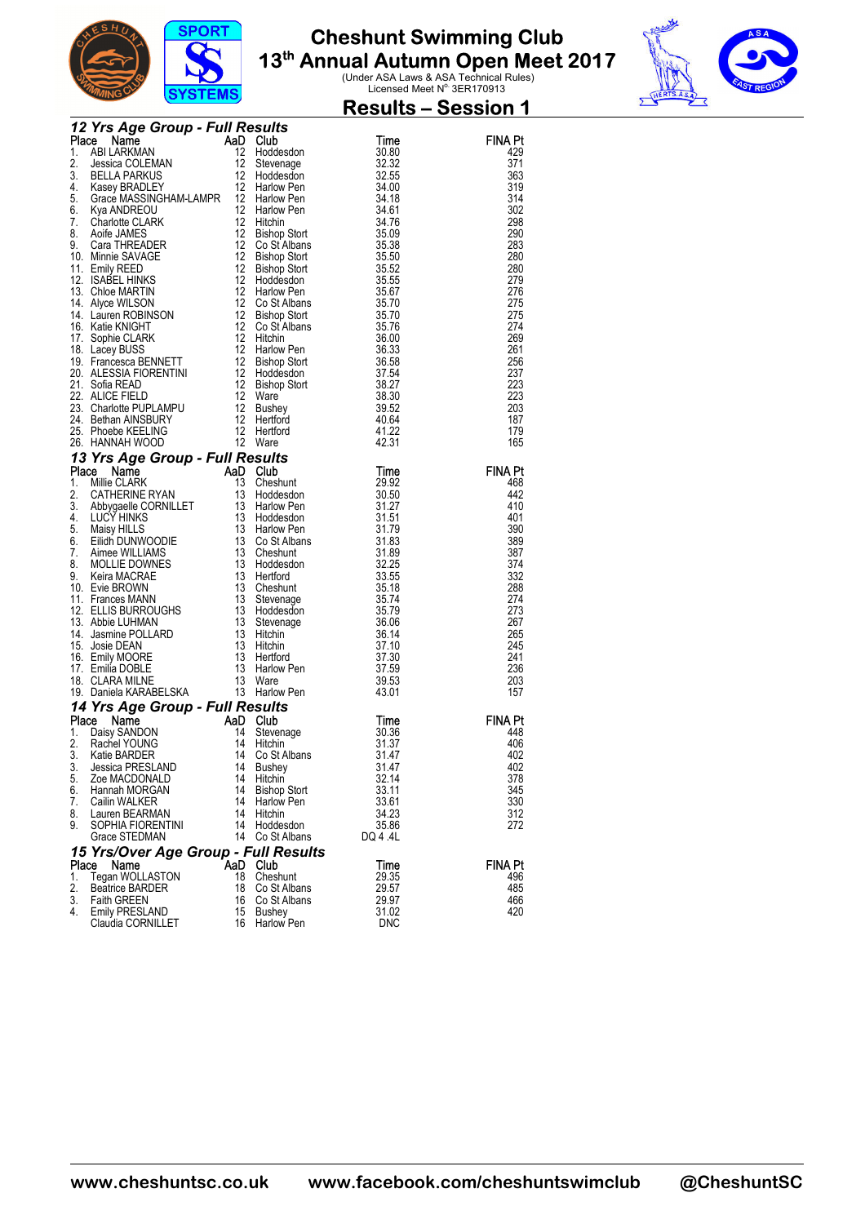

**Results – Session 1** 



| <b>12 Yrs Agree Group - Full Results and Convey and Convey and Convey and Convey and Convey and Convey and Convey and Convey and Convey and Convey and Convey and Convey and Convey and Convey and Convey and Convey and Convey</b><br><b>FINA Pt</b><br>429<br>371<br>363<br>319<br>314<br>302<br>298<br>290<br>283<br>280<br>280<br>279<br>276<br>275<br>275<br>274<br>269<br>261<br>256<br>237<br>223<br>223<br>203<br>187<br>179<br>165<br><b>FINA Pt</b><br>468<br>442<br>410<br>401<br>390<br>389<br>387<br>374<br>332<br>288<br>274<br>273<br>267<br>265<br>245<br>241<br>236<br>203<br>157<br><b>FINA Pt</b><br>448<br>406<br>402<br>402<br>5.<br>Zoe MACDONALD<br>32.14<br>14<br>Hitchin<br>378<br>6.<br>14<br>33.11<br>345<br>Hannah MORGAN<br><b>Bishop Stort</b><br>14<br>330<br>7.<br>Cailin WALKER<br>Harlow Pen<br>33.61<br>8.<br>Lauren BEARMAN<br>14<br>34.23<br>312<br>Hitchin<br>9.<br>14<br>272<br>SOPHIA FIORENTINI<br>Hoddesdon<br>35.86<br>14<br>Grace STEDMAN<br>Co St Albans<br>DQ 4 .4L<br>15 Yrs/Over Age Group - Full Results<br>Place<br><b>Club</b><br><b>FINA Pt</b><br>AaD<br>Name<br>Time<br>18<br>1.<br>Tegan WOLLASTON<br>Cheshunt<br>29.35<br>496<br>2.<br><b>Beatrice BARDER</b><br>18<br>29.57<br>485<br>Co St Albans<br>3.<br>Faith GREEN<br>16<br>Co St Albans<br>29.97<br>466<br>4.<br>31.02<br>420<br>Emily PRESLAND<br>15<br>Bushey<br>16<br><b>DNC</b><br>Claudia CORNILLET<br>Harlow Pen |  |  |  |
|---------------------------------------------------------------------------------------------------------------------------------------------------------------------------------------------------------------------------------------------------------------------------------------------------------------------------------------------------------------------------------------------------------------------------------------------------------------------------------------------------------------------------------------------------------------------------------------------------------------------------------------------------------------------------------------------------------------------------------------------------------------------------------------------------------------------------------------------------------------------------------------------------------------------------------------------------------------------------------------------------------------------------------------------------------------------------------------------------------------------------------------------------------------------------------------------------------------------------------------------------------------------------------------------------------------------------------------------------------------------------------------------------------------------------------------|--|--|--|
|                                                                                                                                                                                                                                                                                                                                                                                                                                                                                                                                                                                                                                                                                                                                                                                                                                                                                                                                                                                                                                                                                                                                                                                                                                                                                                                                                                                                                                       |  |  |  |
|                                                                                                                                                                                                                                                                                                                                                                                                                                                                                                                                                                                                                                                                                                                                                                                                                                                                                                                                                                                                                                                                                                                                                                                                                                                                                                                                                                                                                                       |  |  |  |
|                                                                                                                                                                                                                                                                                                                                                                                                                                                                                                                                                                                                                                                                                                                                                                                                                                                                                                                                                                                                                                                                                                                                                                                                                                                                                                                                                                                                                                       |  |  |  |
|                                                                                                                                                                                                                                                                                                                                                                                                                                                                                                                                                                                                                                                                                                                                                                                                                                                                                                                                                                                                                                                                                                                                                                                                                                                                                                                                                                                                                                       |  |  |  |
|                                                                                                                                                                                                                                                                                                                                                                                                                                                                                                                                                                                                                                                                                                                                                                                                                                                                                                                                                                                                                                                                                                                                                                                                                                                                                                                                                                                                                                       |  |  |  |
|                                                                                                                                                                                                                                                                                                                                                                                                                                                                                                                                                                                                                                                                                                                                                                                                                                                                                                                                                                                                                                                                                                                                                                                                                                                                                                                                                                                                                                       |  |  |  |
|                                                                                                                                                                                                                                                                                                                                                                                                                                                                                                                                                                                                                                                                                                                                                                                                                                                                                                                                                                                                                                                                                                                                                                                                                                                                                                                                                                                                                                       |  |  |  |
|                                                                                                                                                                                                                                                                                                                                                                                                                                                                                                                                                                                                                                                                                                                                                                                                                                                                                                                                                                                                                                                                                                                                                                                                                                                                                                                                                                                                                                       |  |  |  |
|                                                                                                                                                                                                                                                                                                                                                                                                                                                                                                                                                                                                                                                                                                                                                                                                                                                                                                                                                                                                                                                                                                                                                                                                                                                                                                                                                                                                                                       |  |  |  |
|                                                                                                                                                                                                                                                                                                                                                                                                                                                                                                                                                                                                                                                                                                                                                                                                                                                                                                                                                                                                                                                                                                                                                                                                                                                                                                                                                                                                                                       |  |  |  |
|                                                                                                                                                                                                                                                                                                                                                                                                                                                                                                                                                                                                                                                                                                                                                                                                                                                                                                                                                                                                                                                                                                                                                                                                                                                                                                                                                                                                                                       |  |  |  |
|                                                                                                                                                                                                                                                                                                                                                                                                                                                                                                                                                                                                                                                                                                                                                                                                                                                                                                                                                                                                                                                                                                                                                                                                                                                                                                                                                                                                                                       |  |  |  |
|                                                                                                                                                                                                                                                                                                                                                                                                                                                                                                                                                                                                                                                                                                                                                                                                                                                                                                                                                                                                                                                                                                                                                                                                                                                                                                                                                                                                                                       |  |  |  |
|                                                                                                                                                                                                                                                                                                                                                                                                                                                                                                                                                                                                                                                                                                                                                                                                                                                                                                                                                                                                                                                                                                                                                                                                                                                                                                                                                                                                                                       |  |  |  |
|                                                                                                                                                                                                                                                                                                                                                                                                                                                                                                                                                                                                                                                                                                                                                                                                                                                                                                                                                                                                                                                                                                                                                                                                                                                                                                                                                                                                                                       |  |  |  |
|                                                                                                                                                                                                                                                                                                                                                                                                                                                                                                                                                                                                                                                                                                                                                                                                                                                                                                                                                                                                                                                                                                                                                                                                                                                                                                                                                                                                                                       |  |  |  |
|                                                                                                                                                                                                                                                                                                                                                                                                                                                                                                                                                                                                                                                                                                                                                                                                                                                                                                                                                                                                                                                                                                                                                                                                                                                                                                                                                                                                                                       |  |  |  |
|                                                                                                                                                                                                                                                                                                                                                                                                                                                                                                                                                                                                                                                                                                                                                                                                                                                                                                                                                                                                                                                                                                                                                                                                                                                                                                                                                                                                                                       |  |  |  |
|                                                                                                                                                                                                                                                                                                                                                                                                                                                                                                                                                                                                                                                                                                                                                                                                                                                                                                                                                                                                                                                                                                                                                                                                                                                                                                                                                                                                                                       |  |  |  |
|                                                                                                                                                                                                                                                                                                                                                                                                                                                                                                                                                                                                                                                                                                                                                                                                                                                                                                                                                                                                                                                                                                                                                                                                                                                                                                                                                                                                                                       |  |  |  |
|                                                                                                                                                                                                                                                                                                                                                                                                                                                                                                                                                                                                                                                                                                                                                                                                                                                                                                                                                                                                                                                                                                                                                                                                                                                                                                                                                                                                                                       |  |  |  |
|                                                                                                                                                                                                                                                                                                                                                                                                                                                                                                                                                                                                                                                                                                                                                                                                                                                                                                                                                                                                                                                                                                                                                                                                                                                                                                                                                                                                                                       |  |  |  |
|                                                                                                                                                                                                                                                                                                                                                                                                                                                                                                                                                                                                                                                                                                                                                                                                                                                                                                                                                                                                                                                                                                                                                                                                                                                                                                                                                                                                                                       |  |  |  |
|                                                                                                                                                                                                                                                                                                                                                                                                                                                                                                                                                                                                                                                                                                                                                                                                                                                                                                                                                                                                                                                                                                                                                                                                                                                                                                                                                                                                                                       |  |  |  |
|                                                                                                                                                                                                                                                                                                                                                                                                                                                                                                                                                                                                                                                                                                                                                                                                                                                                                                                                                                                                                                                                                                                                                                                                                                                                                                                                                                                                                                       |  |  |  |
|                                                                                                                                                                                                                                                                                                                                                                                                                                                                                                                                                                                                                                                                                                                                                                                                                                                                                                                                                                                                                                                                                                                                                                                                                                                                                                                                                                                                                                       |  |  |  |
|                                                                                                                                                                                                                                                                                                                                                                                                                                                                                                                                                                                                                                                                                                                                                                                                                                                                                                                                                                                                                                                                                                                                                                                                                                                                                                                                                                                                                                       |  |  |  |
|                                                                                                                                                                                                                                                                                                                                                                                                                                                                                                                                                                                                                                                                                                                                                                                                                                                                                                                                                                                                                                                                                                                                                                                                                                                                                                                                                                                                                                       |  |  |  |
|                                                                                                                                                                                                                                                                                                                                                                                                                                                                                                                                                                                                                                                                                                                                                                                                                                                                                                                                                                                                                                                                                                                                                                                                                                                                                                                                                                                                                                       |  |  |  |
|                                                                                                                                                                                                                                                                                                                                                                                                                                                                                                                                                                                                                                                                                                                                                                                                                                                                                                                                                                                                                                                                                                                                                                                                                                                                                                                                                                                                                                       |  |  |  |
|                                                                                                                                                                                                                                                                                                                                                                                                                                                                                                                                                                                                                                                                                                                                                                                                                                                                                                                                                                                                                                                                                                                                                                                                                                                                                                                                                                                                                                       |  |  |  |
|                                                                                                                                                                                                                                                                                                                                                                                                                                                                                                                                                                                                                                                                                                                                                                                                                                                                                                                                                                                                                                                                                                                                                                                                                                                                                                                                                                                                                                       |  |  |  |
|                                                                                                                                                                                                                                                                                                                                                                                                                                                                                                                                                                                                                                                                                                                                                                                                                                                                                                                                                                                                                                                                                                                                                                                                                                                                                                                                                                                                                                       |  |  |  |
|                                                                                                                                                                                                                                                                                                                                                                                                                                                                                                                                                                                                                                                                                                                                                                                                                                                                                                                                                                                                                                                                                                                                                                                                                                                                                                                                                                                                                                       |  |  |  |
|                                                                                                                                                                                                                                                                                                                                                                                                                                                                                                                                                                                                                                                                                                                                                                                                                                                                                                                                                                                                                                                                                                                                                                                                                                                                                                                                                                                                                                       |  |  |  |
|                                                                                                                                                                                                                                                                                                                                                                                                                                                                                                                                                                                                                                                                                                                                                                                                                                                                                                                                                                                                                                                                                                                                                                                                                                                                                                                                                                                                                                       |  |  |  |
|                                                                                                                                                                                                                                                                                                                                                                                                                                                                                                                                                                                                                                                                                                                                                                                                                                                                                                                                                                                                                                                                                                                                                                                                                                                                                                                                                                                                                                       |  |  |  |
|                                                                                                                                                                                                                                                                                                                                                                                                                                                                                                                                                                                                                                                                                                                                                                                                                                                                                                                                                                                                                                                                                                                                                                                                                                                                                                                                                                                                                                       |  |  |  |
|                                                                                                                                                                                                                                                                                                                                                                                                                                                                                                                                                                                                                                                                                                                                                                                                                                                                                                                                                                                                                                                                                                                                                                                                                                                                                                                                                                                                                                       |  |  |  |
|                                                                                                                                                                                                                                                                                                                                                                                                                                                                                                                                                                                                                                                                                                                                                                                                                                                                                                                                                                                                                                                                                                                                                                                                                                                                                                                                                                                                                                       |  |  |  |
|                                                                                                                                                                                                                                                                                                                                                                                                                                                                                                                                                                                                                                                                                                                                                                                                                                                                                                                                                                                                                                                                                                                                                                                                                                                                                                                                                                                                                                       |  |  |  |
|                                                                                                                                                                                                                                                                                                                                                                                                                                                                                                                                                                                                                                                                                                                                                                                                                                                                                                                                                                                                                                                                                                                                                                                                                                                                                                                                                                                                                                       |  |  |  |
|                                                                                                                                                                                                                                                                                                                                                                                                                                                                                                                                                                                                                                                                                                                                                                                                                                                                                                                                                                                                                                                                                                                                                                                                                                                                                                                                                                                                                                       |  |  |  |
|                                                                                                                                                                                                                                                                                                                                                                                                                                                                                                                                                                                                                                                                                                                                                                                                                                                                                                                                                                                                                                                                                                                                                                                                                                                                                                                                                                                                                                       |  |  |  |
|                                                                                                                                                                                                                                                                                                                                                                                                                                                                                                                                                                                                                                                                                                                                                                                                                                                                                                                                                                                                                                                                                                                                                                                                                                                                                                                                                                                                                                       |  |  |  |
|                                                                                                                                                                                                                                                                                                                                                                                                                                                                                                                                                                                                                                                                                                                                                                                                                                                                                                                                                                                                                                                                                                                                                                                                                                                                                                                                                                                                                                       |  |  |  |
|                                                                                                                                                                                                                                                                                                                                                                                                                                                                                                                                                                                                                                                                                                                                                                                                                                                                                                                                                                                                                                                                                                                                                                                                                                                                                                                                                                                                                                       |  |  |  |
|                                                                                                                                                                                                                                                                                                                                                                                                                                                                                                                                                                                                                                                                                                                                                                                                                                                                                                                                                                                                                                                                                                                                                                                                                                                                                                                                                                                                                                       |  |  |  |
|                                                                                                                                                                                                                                                                                                                                                                                                                                                                                                                                                                                                                                                                                                                                                                                                                                                                                                                                                                                                                                                                                                                                                                                                                                                                                                                                                                                                                                       |  |  |  |
|                                                                                                                                                                                                                                                                                                                                                                                                                                                                                                                                                                                                                                                                                                                                                                                                                                                                                                                                                                                                                                                                                                                                                                                                                                                                                                                                                                                                                                       |  |  |  |
|                                                                                                                                                                                                                                                                                                                                                                                                                                                                                                                                                                                                                                                                                                                                                                                                                                                                                                                                                                                                                                                                                                                                                                                                                                                                                                                                                                                                                                       |  |  |  |
|                                                                                                                                                                                                                                                                                                                                                                                                                                                                                                                                                                                                                                                                                                                                                                                                                                                                                                                                                                                                                                                                                                                                                                                                                                                                                                                                                                                                                                       |  |  |  |
|                                                                                                                                                                                                                                                                                                                                                                                                                                                                                                                                                                                                                                                                                                                                                                                                                                                                                                                                                                                                                                                                                                                                                                                                                                                                                                                                                                                                                                       |  |  |  |
|                                                                                                                                                                                                                                                                                                                                                                                                                                                                                                                                                                                                                                                                                                                                                                                                                                                                                                                                                                                                                                                                                                                                                                                                                                                                                                                                                                                                                                       |  |  |  |
|                                                                                                                                                                                                                                                                                                                                                                                                                                                                                                                                                                                                                                                                                                                                                                                                                                                                                                                                                                                                                                                                                                                                                                                                                                                                                                                                                                                                                                       |  |  |  |
|                                                                                                                                                                                                                                                                                                                                                                                                                                                                                                                                                                                                                                                                                                                                                                                                                                                                                                                                                                                                                                                                                                                                                                                                                                                                                                                                                                                                                                       |  |  |  |
|                                                                                                                                                                                                                                                                                                                                                                                                                                                                                                                                                                                                                                                                                                                                                                                                                                                                                                                                                                                                                                                                                                                                                                                                                                                                                                                                                                                                                                       |  |  |  |
|                                                                                                                                                                                                                                                                                                                                                                                                                                                                                                                                                                                                                                                                                                                                                                                                                                                                                                                                                                                                                                                                                                                                                                                                                                                                                                                                                                                                                                       |  |  |  |
|                                                                                                                                                                                                                                                                                                                                                                                                                                                                                                                                                                                                                                                                                                                                                                                                                                                                                                                                                                                                                                                                                                                                                                                                                                                                                                                                                                                                                                       |  |  |  |
|                                                                                                                                                                                                                                                                                                                                                                                                                                                                                                                                                                                                                                                                                                                                                                                                                                                                                                                                                                                                                                                                                                                                                                                                                                                                                                                                                                                                                                       |  |  |  |
|                                                                                                                                                                                                                                                                                                                                                                                                                                                                                                                                                                                                                                                                                                                                                                                                                                                                                                                                                                                                                                                                                                                                                                                                                                                                                                                                                                                                                                       |  |  |  |
|                                                                                                                                                                                                                                                                                                                                                                                                                                                                                                                                                                                                                                                                                                                                                                                                                                                                                                                                                                                                                                                                                                                                                                                                                                                                                                                                                                                                                                       |  |  |  |
|                                                                                                                                                                                                                                                                                                                                                                                                                                                                                                                                                                                                                                                                                                                                                                                                                                                                                                                                                                                                                                                                                                                                                                                                                                                                                                                                                                                                                                       |  |  |  |
|                                                                                                                                                                                                                                                                                                                                                                                                                                                                                                                                                                                                                                                                                                                                                                                                                                                                                                                                                                                                                                                                                                                                                                                                                                                                                                                                                                                                                                       |  |  |  |
|                                                                                                                                                                                                                                                                                                                                                                                                                                                                                                                                                                                                                                                                                                                                                                                                                                                                                                                                                                                                                                                                                                                                                                                                                                                                                                                                                                                                                                       |  |  |  |
|                                                                                                                                                                                                                                                                                                                                                                                                                                                                                                                                                                                                                                                                                                                                                                                                                                                                                                                                                                                                                                                                                                                                                                                                                                                                                                                                                                                                                                       |  |  |  |
|                                                                                                                                                                                                                                                                                                                                                                                                                                                                                                                                                                                                                                                                                                                                                                                                                                                                                                                                                                                                                                                                                                                                                                                                                                                                                                                                                                                                                                       |  |  |  |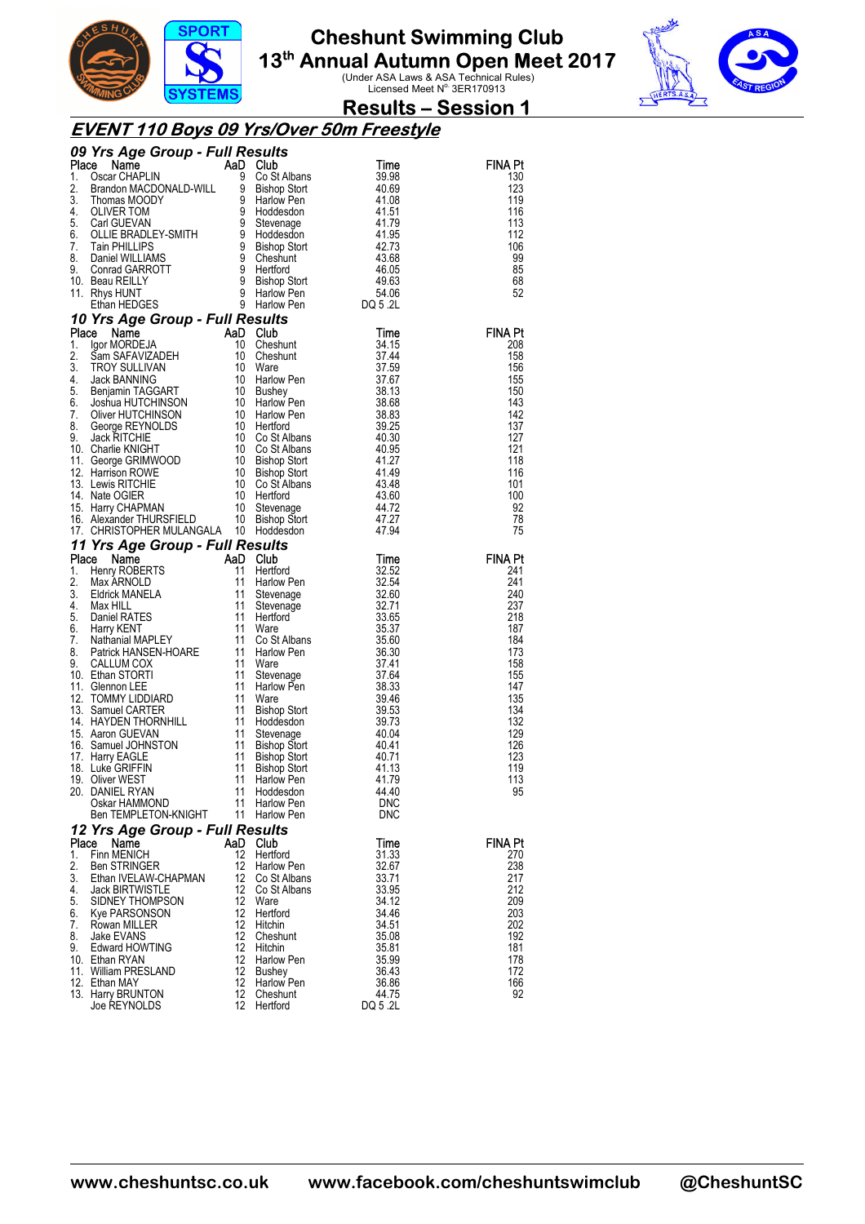



### **Results – Session 1**

### **EVENT 110 Boys 09 Yrs/Over 50m Freestyle**

|          | 09 Yrs Age Group - Full Results                                                                                                                                                                                                                                    |                         | <b>Resunds<br/>ID Club<br/>9 Co St Albans<br/>^ Rishop Stort</b> |                   |                |
|----------|--------------------------------------------------------------------------------------------------------------------------------------------------------------------------------------------------------------------------------------------------------------------|-------------------------|------------------------------------------------------------------|-------------------|----------------|
|          |                                                                                                                                                                                                                                                                    |                         |                                                                  |                   | FINA Pt        |
|          |                                                                                                                                                                                                                                                                    |                         |                                                                  |                   | 130            |
|          |                                                                                                                                                                                                                                                                    |                         |                                                                  |                   | 123            |
|          |                                                                                                                                                                                                                                                                    |                         |                                                                  |                   | 119<br>116     |
|          |                                                                                                                                                                                                                                                                    |                         |                                                                  |                   | 113            |
|          |                                                                                                                                                                                                                                                                    |                         |                                                                  |                   | 112            |
|          |                                                                                                                                                                                                                                                                    |                         |                                                                  |                   | 106            |
|          |                                                                                                                                                                                                                                                                    |                         |                                                                  |                   | 99             |
|          |                                                                                                                                                                                                                                                                    |                         |                                                                  |                   | 85             |
|          |                                                                                                                                                                                                                                                                    |                         |                                                                  |                   | 68             |
|          |                                                                                                                                                                                                                                                                    |                         |                                                                  |                   | 52             |
|          | <b>09 Yrs Age Group - Full Results<br/> Place Name AaD Club Time<br/> 1. Oscar CHAPLIN 9 Co St Albans<br/> 2. Brandon MACDONALD-WILL 9 Bishop Stort 40.69<br/> 3. Thomas MOODY 9 Harlow Pen<br/> 4. OLIVER TOM 9 Hoddesdon 41.51<br/> 5. Carl GUEVAN 9 S</b>       |                         |                                                                  |                   |                |
|          | Ethan HEDGES<br><b>10 Yrs Age Group - Full Results</b><br><b>Place Name</b><br>10 Cheshunt<br>10 Cheshunt<br>10 Cheshunt<br>10 Cheshunt<br>10 Cheshunt<br>10 Cheshunt<br>37.59<br>4. Jack BANNING<br>4. Jack BANNING<br>6. Benjamin TAGGART<br>5. Dischar 10 Batho |                         |                                                                  |                   | <b>FINA Pt</b> |
|          |                                                                                                                                                                                                                                                                    |                         |                                                                  |                   | 208            |
|          |                                                                                                                                                                                                                                                                    |                         |                                                                  |                   | 158            |
|          |                                                                                                                                                                                                                                                                    |                         |                                                                  |                   | 156            |
|          |                                                                                                                                                                                                                                                                    |                         |                                                                  |                   | 155            |
|          |                                                                                                                                                                                                                                                                    |                         |                                                                  |                   | 150            |
|          |                                                                                                                                                                                                                                                                    |                         |                                                                  |                   | 143<br>142     |
|          |                                                                                                                                                                                                                                                                    |                         |                                                                  |                   | 137            |
|          |                                                                                                                                                                                                                                                                    |                         |                                                                  |                   | 127            |
|          |                                                                                                                                                                                                                                                                    |                         |                                                                  |                   | 121            |
|          |                                                                                                                                                                                                                                                                    |                         |                                                                  |                   | 118            |
|          |                                                                                                                                                                                                                                                                    |                         |                                                                  |                   | 116            |
|          |                                                                                                                                                                                                                                                                    |                         |                                                                  |                   | 101            |
|          |                                                                                                                                                                                                                                                                    |                         |                                                                  |                   | 100<br>92      |
|          |                                                                                                                                                                                                                                                                    |                         |                                                                  |                   | 78             |
|          |                                                                                                                                                                                                                                                                    |                         |                                                                  |                   | 75             |
|          | 17. CHRISTOPHER MULANGALA 10 Hoddesdon<br>11 Yrs Age Group - Full Results<br>11 Yrs Age Group - Full Results<br>11 Henry ROBERTS<br>11 Heriford 32.52<br>2. Max ARNOLD<br>11 Heriford 32.54<br>4. Max HILL<br>6. Harry KENT 11 Stevenage<br>4. M                   |                         |                                                                  |                   |                |
|          |                                                                                                                                                                                                                                                                    |                         |                                                                  |                   | <b>FINA Pt</b> |
|          |                                                                                                                                                                                                                                                                    |                         |                                                                  |                   | 241            |
|          |                                                                                                                                                                                                                                                                    |                         |                                                                  |                   | 241            |
|          |                                                                                                                                                                                                                                                                    |                         |                                                                  |                   | 240            |
|          |                                                                                                                                                                                                                                                                    |                         |                                                                  |                   | 237            |
|          |                                                                                                                                                                                                                                                                    |                         |                                                                  |                   | 218            |
|          |                                                                                                                                                                                                                                                                    |                         |                                                                  |                   | 187<br>184     |
|          |                                                                                                                                                                                                                                                                    |                         |                                                                  |                   | 173            |
|          |                                                                                                                                                                                                                                                                    |                         |                                                                  |                   | 158            |
|          |                                                                                                                                                                                                                                                                    |                         |                                                                  |                   | 155            |
|          |                                                                                                                                                                                                                                                                    |                         |                                                                  |                   | 147            |
|          |                                                                                                                                                                                                                                                                    |                         |                                                                  |                   | 135<br>134     |
|          |                                                                                                                                                                                                                                                                    |                         |                                                                  |                   | 132            |
|          |                                                                                                                                                                                                                                                                    |                         |                                                                  |                   | 129            |
|          |                                                                                                                                                                                                                                                                    |                         |                                                                  |                   | 126            |
|          |                                                                                                                                                                                                                                                                    |                         |                                                                  |                   | 123            |
|          |                                                                                                                                                                                                                                                                    |                         |                                                                  |                   | 119            |
|          |                                                                                                                                                                                                                                                                    |                         |                                                                  |                   | 113            |
|          | Oskar HAMMOND                                                                                                                                                                                                                                                      | 11                      | Harlow Pen                                                       |                   | 95             |
|          | Ben TEMPLETON-KNIGHT                                                                                                                                                                                                                                               | 11                      | Harlow Pen                                                       | <b>DNC</b><br>DNC |                |
|          | 12 Yrs Age Group - Full Results                                                                                                                                                                                                                                    |                         |                                                                  |                   |                |
| Place    | Name                                                                                                                                                                                                                                                               | AaD Club                |                                                                  | Time              | FINA Pt        |
| 1.       | Finn MENICH                                                                                                                                                                                                                                                        | 12                      | Hertford                                                         | 31.33             | 270            |
| 2.       | <b>Ben STRINGER</b>                                                                                                                                                                                                                                                | 12                      | Harlow Pen                                                       | 32.67             | 238            |
| 3.       | Ethan IVELAW-CHAPMAN                                                                                                                                                                                                                                               | 12                      | Co St Albans                                                     | 33.71             | 217            |
| 4.       | <b>Jack BIRTWISTLE</b>                                                                                                                                                                                                                                             | 12                      | Co St Albans                                                     | 33.95             | 212            |
| 5.       | SIDNEY THOMPSON                                                                                                                                                                                                                                                    | 12                      | Ware                                                             | 34.12             | 209            |
| 6.<br>7. | Kye PARSONSON                                                                                                                                                                                                                                                      | 12<br>$12 \overline{ }$ | Hertford<br>Hitchin                                              | 34.46<br>34.51    | 203<br>202     |
| 8.       | Rowan MILLER<br>Jake EVANS                                                                                                                                                                                                                                         | 12                      | Cheshunt                                                         | 35.08             | 192            |
| 9.       | <b>Edward HOWTING</b>                                                                                                                                                                                                                                              | 12                      | Hitchin                                                          | 35.81             | 181            |
|          | 10. Ethan RYAN                                                                                                                                                                                                                                                     | 12                      | Harlow Pen                                                       | 35.99             | 178            |
|          |                                                                                                                                                                                                                                                                    | 12                      | <b>Bushey</b>                                                    | 36.43             | 172            |
|          | 11. William PRESLAND                                                                                                                                                                                                                                               |                         |                                                                  |                   |                |
|          | 12. Ethan MAY                                                                                                                                                                                                                                                      | 12                      | Harlow Pen                                                       | 36.86             | 166            |
|          | 13. Harry BRUNTON<br>Joe REYNOLDS                                                                                                                                                                                                                                  | 12<br>12                | Cheshunt<br>Hertford                                             | 44.75<br>DQ 5.2L  | 92             |